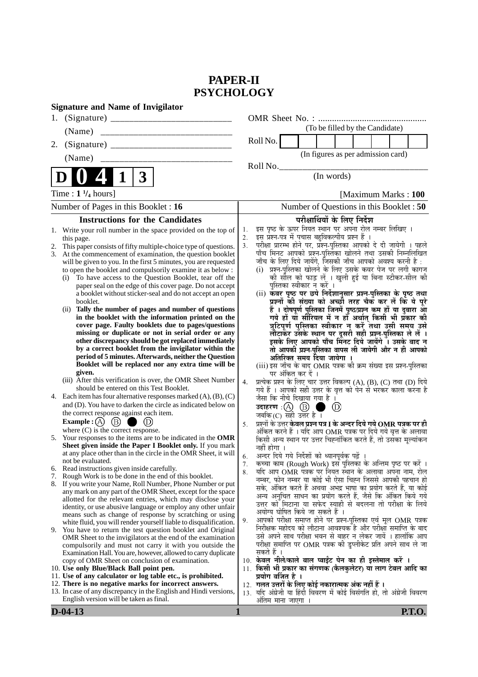# **PAPER-II PSYCHOLOGY**

|    | <b>Signature and Name of Invigilator</b>                                                                                                                                                                                                                                                                                                                                                                                                                                                                                                                                                                                                                                                                                                                                                                                                                                                                                                                                                                |                      |                                                                                                                                                                                                                                                                                                                                                                                                                                                                                                                                                                                                                                                                                                                                                                                                                                                                                                                                                                                                                                                      |
|----|---------------------------------------------------------------------------------------------------------------------------------------------------------------------------------------------------------------------------------------------------------------------------------------------------------------------------------------------------------------------------------------------------------------------------------------------------------------------------------------------------------------------------------------------------------------------------------------------------------------------------------------------------------------------------------------------------------------------------------------------------------------------------------------------------------------------------------------------------------------------------------------------------------------------------------------------------------------------------------------------------------|----------------------|------------------------------------------------------------------------------------------------------------------------------------------------------------------------------------------------------------------------------------------------------------------------------------------------------------------------------------------------------------------------------------------------------------------------------------------------------------------------------------------------------------------------------------------------------------------------------------------------------------------------------------------------------------------------------------------------------------------------------------------------------------------------------------------------------------------------------------------------------------------------------------------------------------------------------------------------------------------------------------------------------------------------------------------------------|
| 1. |                                                                                                                                                                                                                                                                                                                                                                                                                                                                                                                                                                                                                                                                                                                                                                                                                                                                                                                                                                                                         |                      | OMR Sheet No.:                                                                                                                                                                                                                                                                                                                                                                                                                                                                                                                                                                                                                                                                                                                                                                                                                                                                                                                                                                                                                                       |
|    | (Name)                                                                                                                                                                                                                                                                                                                                                                                                                                                                                                                                                                                                                                                                                                                                                                                                                                                                                                                                                                                                  |                      | (To be filled by the Candidate)                                                                                                                                                                                                                                                                                                                                                                                                                                                                                                                                                                                                                                                                                                                                                                                                                                                                                                                                                                                                                      |
| 2. |                                                                                                                                                                                                                                                                                                                                                                                                                                                                                                                                                                                                                                                                                                                                                                                                                                                                                                                                                                                                         |                      | Roll No.                                                                                                                                                                                                                                                                                                                                                                                                                                                                                                                                                                                                                                                                                                                                                                                                                                                                                                                                                                                                                                             |
|    | (Name)                                                                                                                                                                                                                                                                                                                                                                                                                                                                                                                                                                                                                                                                                                                                                                                                                                                                                                                                                                                                  |                      | (In figures as per admission card)                                                                                                                                                                                                                                                                                                                                                                                                                                                                                                                                                                                                                                                                                                                                                                                                                                                                                                                                                                                                                   |
|    |                                                                                                                                                                                                                                                                                                                                                                                                                                                                                                                                                                                                                                                                                                                                                                                                                                                                                                                                                                                                         |                      | Roll No.                                                                                                                                                                                                                                                                                                                                                                                                                                                                                                                                                                                                                                                                                                                                                                                                                                                                                                                                                                                                                                             |
|    | 3                                                                                                                                                                                                                                                                                                                                                                                                                                                                                                                                                                                                                                                                                                                                                                                                                                                                                                                                                                                                       |                      | (In words)                                                                                                                                                                                                                                                                                                                                                                                                                                                                                                                                                                                                                                                                                                                                                                                                                                                                                                                                                                                                                                           |
|    | Time : $1\frac{1}{4}$ hours]                                                                                                                                                                                                                                                                                                                                                                                                                                                                                                                                                                                                                                                                                                                                                                                                                                                                                                                                                                            |                      | [Maximum Marks: 100                                                                                                                                                                                                                                                                                                                                                                                                                                                                                                                                                                                                                                                                                                                                                                                                                                                                                                                                                                                                                                  |
|    | Number of Pages in this Booklet : 16                                                                                                                                                                                                                                                                                                                                                                                                                                                                                                                                                                                                                                                                                                                                                                                                                                                                                                                                                                    |                      | Number of Questions in this Booklet: 50                                                                                                                                                                                                                                                                                                                                                                                                                                                                                                                                                                                                                                                                                                                                                                                                                                                                                                                                                                                                              |
|    | <b>Instructions for the Candidates</b>                                                                                                                                                                                                                                                                                                                                                                                                                                                                                                                                                                                                                                                                                                                                                                                                                                                                                                                                                                  |                      | परीक्षार्थियों के लिए निर्देश                                                                                                                                                                                                                                                                                                                                                                                                                                                                                                                                                                                                                                                                                                                                                                                                                                                                                                                                                                                                                        |
| 2. | 1. Write your roll number in the space provided on the top of<br>this page.<br>This paper consists of fifty multiple-choice type of questions.<br>At the commencement of examination, the question booklet<br>will be given to you. In the first 5 minutes, you are requested<br>to open the booklet and compulsorily examine it as below :<br>(i) To have access to the Question Booklet, tear off the<br>paper seal on the edge of this cover page. Do not accept<br>a booklet without sticker-seal and do not accept an open<br>booklet.<br>(ii) Tally the number of pages and number of questions<br>in the booklet with the information printed on the<br>cover page. Faulty booklets due to pages/questions<br>missing or duplicate or not in serial order or any<br>other discrepancy should be got replaced immediately<br>by a correct booklet from the invigilator within the<br>period of 5 minutes. Afterwards, neither the Question<br>Booklet will be replaced nor any extra time will be | 1.<br>2.<br>3.       | इस पृष्ठ के ऊपर नियत स्थान पर अपना रोल नम्बर लिखिए ।<br>इस प्रश्न-पत्र में पचास बहुविकल्पीय प्रश्न हैं ।<br>परीक्षा प्रारम्भ होने पर, प्रॅश्न-पुस्तिका आपको दे दी जायेगी । पहले<br>पाँच मिनट आपको प्रश्न-पुस्तिका खोलने तथा उसकी निम्नलिखित<br>जाँच के लिए दिये जायेंगे, जिसकी जाँच आपको अवश्य करनी है :<br>(i) प्रश्न-पुस्तिका खोलने के लिए उसके कवर पेज पर लगी कागज<br>की सील को फाड़ लें । खुली हुई या बिना स्टीकर-सील की<br>पुस्तिका स्वीकार न करें ।<br>(ii) कवर पृष्ठ पर छपे निर्देशानुसार प्रश्न-पुस्तिका के पृष्ठ तथा<br>प्रश्नों की संख्या को अच्छी तरह चैक कर लें कि ये पूरे<br>हैं । दोषपूर्ण पुस्तिका जिनमें पृष्ठ/प्रश्न कम हों या दुबारा आ<br>गये हों या सीरियल में न हों अर्थात् किसी भी प्रॅकार की<br>त्रुटिपूर्ण पुस्तिका स्वीकार न करें तथा उसी समय उसे<br>लौटाकर उसके स्थान पर दूसरी सही प्रश्न-पुस्तिका ले लें ।<br>इसके लिए आपको पाँच मिंनट दिये जायेंगे ँ। उसके बाद न<br>तो आपकी प्रश्न-पुस्तिका वापस ली जायेगी और न ही आपको<br>अतिरिक्त समय दिया जायेगा ।<br>(iii) इस जाँच के बाद OMR पत्रक की क्रम संख्या इस प्रश्न-पुस्तिका |
| 4. | given.<br>(iii) After this verification is over, the OMR Sheet Number<br>should be entered on this Test Booklet.<br>Each item has four alternative responses marked $(A)$ , $(B)$ , $(C)$<br>and (D). You have to darken the circle as indicated below on                                                                                                                                                                                                                                                                                                                                                                                                                                                                                                                                                                                                                                                                                                                                               | 4.                   | पर अंकित कर दें ।<br>प्रत्येक प्रश्न के लिए चार उत्तर विकल्प (A), (B), (C) तथा (D) दिये<br>गये हैं । आपको सही उत्तर के वृत्त को पेन से भरकर काला करना है<br>जैसा कि नीचे दिखाया गया है ।<br>उदाहरण $\,$ :(A) $\,$ (B) $\,$<br>$\left(\mathrm{D}\right)$                                                                                                                                                                                                                                                                                                                                                                                                                                                                                                                                                                                                                                                                                                                                                                                              |
|    | the correct response against each item.<br>(B)<br>Example : $(A)$<br>Œ)<br>where $(C)$ is the correct response.<br>5. Your responses to the items are to be indicated in the OMR<br>Sheet given inside the Paper I Booklet only. If you mark                                                                                                                                                                                                                                                                                                                                                                                                                                                                                                                                                                                                                                                                                                                                                            | 5.                   | जबकि $(C)$ सही उत्तर है।<br>प्रश्नों के उत्तर <b>केवल प्रश्न पत्र I के अन्दर दिये गये OMR पत्रक पर ही</b><br>अंकित करने हैं । यदि आप OMR पत्रक पर दिये गये वृत्त के अलावा<br>किसी अन्य स्थान पर उत्तर चिह्नांकित करते हैं, तो उसका मूल्यांकन<br>नहीं होगा ।                                                                                                                                                                                                                                                                                                                                                                                                                                                                                                                                                                                                                                                                                                                                                                                          |
| 7. | at any place other than in the circle in the OMR Sheet, it will<br>not be evaluated.<br>6. Read instructions given inside carefully.<br>Rough Work is to be done in the end of this booklet.<br>8. If you write your Name, Roll Number, Phone Number or put<br>any mark on any part of the OMR Sheet, except for the space<br>allotted for the relevant entries, which may disclose your<br>identity, or use abusive language or employ any other unfair<br>means such as change of response by scratching or using<br>white fluid, you will render yourself liable to disqualification.<br>9. You have to return the test question booklet and Original                                                                                                                                                                                                                                                                                                                                                | 6.<br>7.<br>8.<br>9. | अन्दर दिये गये निर्देशों को ध्यानपूर्वक पढ़ें ।<br>कच्चा काम (Rough Work) इस पुस्तिका के अन्तिम पृष्ठ पर करें ।<br>र्याद आप OMR पत्रक पर नियत स्थान के अलावा अपना नाम, रोल<br>नम्बर, फोन नम्बर या कोई भी ऐसा चिह्न जिससे आपकी पहचान हो<br>सके, अंकित करते हैं अथवा अभद्र भाषा का प्रयोग करते हैं, या कोई<br>अन्य अनुचित साधन का प्रयोग करते हैं, जैसे कि अंकित किये गये<br>उत्तर को मिटाना या सफेद स्याही से बदलना तो परीक्षा के लिये<br>अयोग्य घोषित किये जा सकते हैं ।<br>आपको परीक्षा समाप्त होने पर प्रश्न-पुस्तिका एवं मूल OMR पत्रक<br>निरीक्षक महोदय को लौटाना आवश्यक है और परीक्षा समाप्ति के बाद                                                                                                                                                                                                                                                                                                                                                                                                                                            |
|    | OMR Sheet to the invigilators at the end of the examination<br>compulsorily and must not carry it with you outside the<br>Examination Hall. You are, however, allowed to carry duplicate<br>copy of OMR Sheet on conclusion of examination.<br>10. Use only Blue/Black Ball point pen.<br>11. Use of any calculator or log table etc., is prohibited.<br>12. There is no negative marks for incorrect answers.<br>13. In case of any discrepancy in the English and Hindi versions,<br>English version will be taken as final.                                                                                                                                                                                                                                                                                                                                                                                                                                                                          |                      | उसे अपने साथ परीक्षा भवन से बाहर न लेकर जायें । हालांकि आप<br>परीक्षा समाप्ति पर OMR पत्रक की डुप्लीकेट प्रति अपने साथ ले जा<br>सकते हैं ।<br>10. केवल नीले/काले बाल प्वाईंट पेन का ही इस्तेमाल करें ।<br>11. किसी भी प्रकार का संगणक (कैलकुलेटर) या लाग टेबल आदि का<br>प्रयोग वर्जित है ।<br>12. गलत उत्तरों के लिए कोई नकारात्मक अंक नहीं हैं ।<br>13. यदि अंग्रेजी या हिंदी विवरण में कोई विसंगति हो, तो अंग्रेजी विवरण<br>अंतिम माना जाएगा                                                                                                                                                                                                                                                                                                                                                                                                                                                                                                                                                                                                       |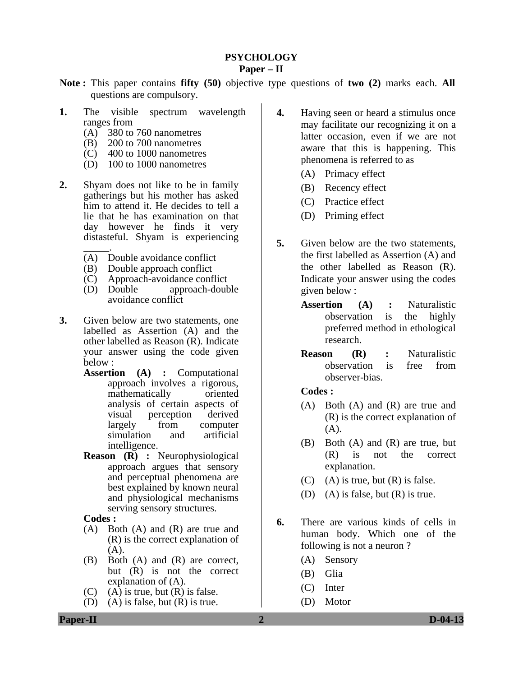#### **PSYCHOLOGY Paper – II**

- **Note :** This paper contains **fifty (50)** objective type questions of **two (2)** marks each. **All** questions are compulsory.
- **1.** The visible spectrum wavelength ranges from
	- (A) 380 to 760 nanometres
	- (B) 200 to 700 nanometres
	- (C) 400 to 1000 nanometres
	- (D) 100 to 1000 nanometres
- **2.** Shyam does not like to be in family gatherings but his mother has asked him to attend it. He decides to tell a lie that he has examination on that day however he finds it very distasteful. Shyam is experiencing
	- $\overline{\phantom{a}}$ . (A) Double avoidance conflict
	- (B) Double approach conflict
	-
	- (C) Approach-avoidance conflict approach-double avoidance conflict
- **3.** Given below are two statements, one labelled as Assertion (A) and the other labelled as Reason (R). Indicate your answer using the code given below :
	- **Assertion (A) :** Computational approach involves a rigorous, mathematically oriented analysis of certain aspects of visual perception derived largely from computer simulation and artificial intelligence.
	- **Reason (R) :** Neurophysiological approach argues that sensory and perceptual phenomena are best explained by known neural and physiological mechanisms serving sensory structures.

**Codes :** 

- (A) Both (A) and (R) are true and (R) is the correct explanation of (A).
- (B) Both (A) and (R) are correct, but (R) is not the correct explanation of (A).
- $(C)$  (A) is true, but  $(R)$  is false.
- (D) (A) is false, but (R) is true.
- **4.** Having seen or heard a stimulus once may facilitate our recognizing it on a latter occasion, even if we are not aware that this is happening. This phenomena is referred to as
	- (A) Primacy effect
	- (B) Recency effect
	- (C) Practice effect
	- (D) Priming effect
- **5.** Given below are the two statements, the first labelled as Assertion (A) and the other labelled as Reason (R). Indicate your answer using the codes given below :
	- **Assertion (A) :** Naturalistic observation is the highly preferred method in ethological research.
	- **Reason (R) :** Naturalistic observation is free from observer-bias.

#### **Codes :**

- (A) Both (A) and (R) are true and (R) is the correct explanation of  $(A)$ .
- (B) Both (A) and (R) are true, but (R) is not the correct explanation.
- (C) (A) is true, but  $(R)$  is false.
- (D) (A) is false, but  $(R)$  is true.
- **6.** There are various kinds of cells in human body. Which one of the following is not a neuron ?
	- (A) Sensory
	- (B) Glia
	- (C) Inter
	- (D) Motor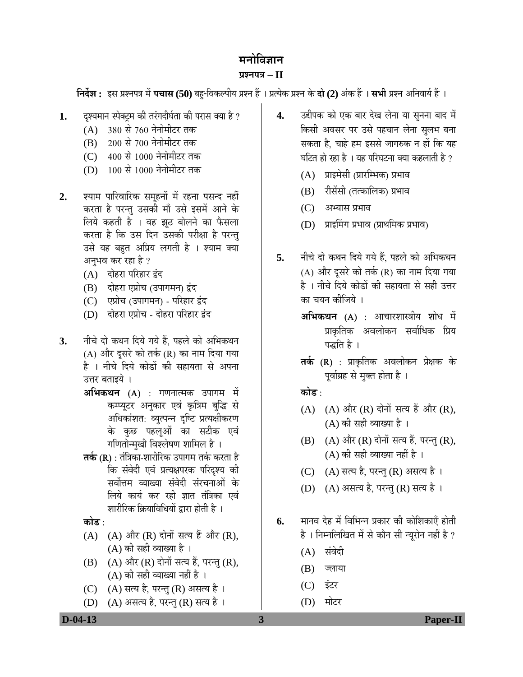## मनोविज्ञान

### **¯ÖÏ¿®Ö¯Ö¡Ö – II**

**निर्देश :** इस प्रश्नपत्र में **पचास (50)** बहु-विकल्पीय प्रश्न हैं । प्रत्येक प्रश्न के **दो (2)** अंक हैं । सभी प्रश्न अनिवार्य हैं ।

- 1. दृश्यमान स्पेक्ट्रम की तरंगदीर्घता की परास क्या है ?
	- (A)  $380 \text{ R}$  760 नेनोमीटर तक
	- (B) 200 से 700 नेनोमीटर तक
	- (C) 400 से 1000 नेनोमीटर तक
	- (D) 100 से 1000 नेनोमीटर तक
- 2. श्याम पारिवारिक समूहनों में रहना पसन्द नहीं करता है परन्तु उसकी माँ उसे इसमें आने के लिये कहती है । वह झूठ बोलने का फैसला करता है कि उस दिन उसकी परीक्षा है परन्तु उसे यह बहुत अप्रिय लगती है । श्याम क्या अनुभव कर रहा है ?
	- (A) दोहरा परिहार द्वंद
	- (B) दोहरा एप्रोच (उपागमन) द्वंद
	- (C) एप्रोच (उपागमन) परिहार द्वंद
	- (D) दोहरा एप्रोच दोहरा परिहार द्वंद
- **3.** नीचे दो कथन दिये गये हैं. पहले को अभिकथन (A) और दूसरे को तर्क (R) का नाम दिया गया है । नीचे दिये कोडों की सहायता से अपना उत्तर बताइये ।
	- **अभिकथन (A)** : गणनात्मक उपागम में कम्प्यूटर अनुकार एवं कृत्रिम बुद्धि से अधिकांशत: व्युत्पन्न दृष्टि प्रत्यक्षीकरण के कुछ पहलूओं का सटीक एवं गणितोन्मुखी विश्लेषण शामिल है ।
	- **तर्क (R)** : तंत्रिका-शारीरिक उपागम तर्क करता है कि संवेदी एवं प्रत्यक्षपरक परिदृश्य की सर्वोत्तम व्याख्या संवेदी संरचनाओं के लिये कार्य कर रही ज्ञात तंत्रिका एवं शारीरिक क्रियाविधियों द्वारा होती है)।

<u>कोड :</u>

- $(A)$   $(A)$  और  $(R)$  दोनों सत्य हैं और  $(R)$ , (A) की सही व्याख्या है ।
- $(B)$   $(A)$  और  $(R)$  दोनों सत्य हैं, परन्तु  $(R)$ ,  $(A)$  की सही व्याख्या नहीं है ।
- $(C)$   $(A)$  सत्य है, परन्तु  $(R)$  असत्य है ।
- (D) (A) असत्य है, परन्तु (R) सत्य है।
- 4. उद्दीपक को एक बार देख लेना या सुनना बाद में किसी अवसर पर उसे पहचान लेना सुलभ बना सकता है. चाहे हम इससे जागरुक न हों कि यह घटित हो रहा है । यह परिघटना क्या कहलाती है ?
	- (A) प्राइमेसी (प्रारम्भिक) प्रभाव
	- (B) रीसेंसी (तत्कालिक) प्रभाव
	- (C) अभ्यास प्रभाव
	- (D) प्राइमिंग प्रभाव (प्राथमिक प्रभाव)
- 5. नीचे दो कथन दिये गये हैं. पहले को अभिकथन (A) और दूसरे को तर्क (R) का नाम दिया गया है । नीचे दिये कोडों की सहायता से सही उत्तर का चयन कीजिये ।
	- **अभिकथन (A)** : आचारशास्त्रीय शोध में प्राकृतिक अवलोकन सर्वाधिक प्रिय पद्धति है ।
	- **तर्क (R)** : प्राकृतिक अवलोकन प्रेक्षक के पूर्वाग्रह से मुक्त होता है ।

<u>कोड :</u>

- (A)  $(A)$  और  $(R)$  दोनों सत्य हैं और  $(R)$ ,  $(A)$  की सही व्याख्या है ।
- $(B)$   $(A)$  और  $(R)$  दोनों सत्य हैं, परन्तु  $(R)$ ,  $(A)$  की सही व्याख्या नहीं है ।
- (C) (A) सत्य है, परन्तु (R) असत्य है।
- (D) (A) असत्य है, परन्तु (R) सत्य है।
- **6.** मानव देह में विभिन्न प्रकार की कोशिकाएँ होती है। निम्नलिखित में से कौन सी न्यूरोन नहीं है ?
	- (A) संवेदी
	- $(B)$  ज्लाया
	- (C) इंटर
	- (D) मोटर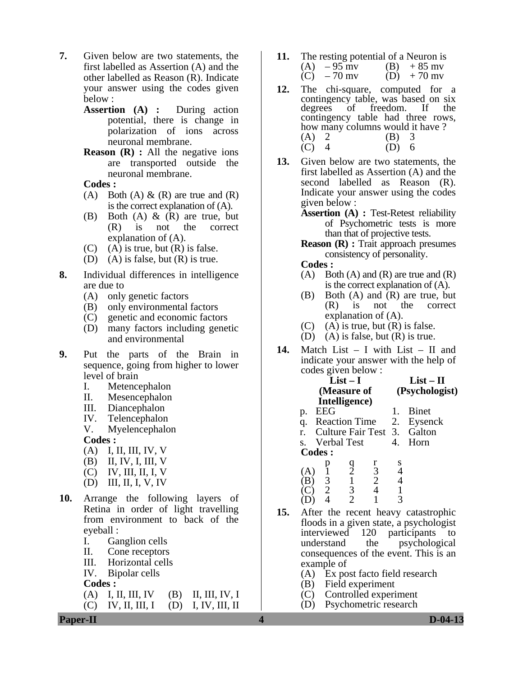- **7.** Given below are two statements, the first labelled as Assertion (A) and the other labelled as Reason (R). Indicate your answer using the codes given below :
	- **Assertion (A) :** During action potential, there is change in polarization of ions across neuronal membrane.
	- **Reason** (**R**) : All the negative ions are transported outside the neuronal membrane.

**Codes :** 

- (A) Both (A)  $\&$  (R) are true and (R) is the correct explanation of (A).
- (B) Both (A)  $\&$  (R) are true, but (R) is not the correct explanation of (A).
- $(C)$  (A) is true, but  $(R)$  is false.
- (D) (A) is false, but (R) is true.
- **8.** Individual differences in intelligence are due to
	- (A) only genetic factors
	- (B) only environmental factors
	- (C) genetic and economic factors
	- (D) many factors including genetic and environmental
- **9.** Put the parts of the Brain in sequence, going from higher to lower level of brain
	- I. Metencephalon
	- II. Mesencephalon
	- III. Diancephalon
	- IV. Telencephalon
	- V. Myelencephalon

**Codes :** 

- (A) I, II, III, IV, V
- (B) II, IV, I, III, V
- (C) IV, III, II, I, V
- (D) III, II, I, V, IV
- **10.** Arrange the following layers of Retina in order of light travelling from environment to back of the eyeball :
	- I. Ganglion cells
	- II. Cone receptors
	- III. Horizontal cells
	- IV. Bipolar cells

**Codes :** 

 (A) I, II, III, IV (B) II, III, IV, I  $(C)$  IV, II, III, I  $(D)$  I, IV, III, II

- **11.** The resting potential of a Neuron is<br>(A)  $-95$  my (B)  $+85$  my (B)  $+85$  mv<br>(D)  $+70$  mv  $\tilde{C}$ ) – 70 mv
- **12.** The chi-square, computed for a contingency table, was based on six<br>degrees of freedom. If the freedom. If the contingency table had three rows, how many columns would it have ?  $(A) 2 (B) 3$ (C) 4 (D) 6
- **13.** Given below are two statements, the first labelled as Assertion (A) and the second labelled as Reason (R). Indicate your answer using the codes given below :
	- **Assertion (A) :** Test-Retest reliability of Psychometric tests is more than that of projective tests.

**Reason (R) :** Trait approach presumes consistency of personality.

**Codes :** 

- $(A)$  Both  $(A)$  and  $(R)$  are true and  $(R)$ is the correct explanation of (A).
- (B) Both (A) and (R) are true, but (R) is not the correct explanation of (A).
- $(C)$  (A) is true, but  $(R)$  is false.
- (D) (A) is false, but  $(R)$  is true.
- **14.** Match List I with List II and indicate your answer with the help of codes given below :

|               | $List-I$    |                      |                | $List - II$ |                             |
|---------------|-------------|----------------------|----------------|-------------|-----------------------------|
|               | (Measure of |                      |                |             | (Psychologist)              |
|               |             | Intelligence)        |                |             |                             |
| p.            | <b>EEG</b>  |                      |                |             | <b>B</b> inet               |
| q.            |             | <b>Reaction Time</b> |                |             | 2. Eysenck                  |
| r.            |             |                      |                |             | Culture Fair Test 3. Galton |
| S.            |             | <b>Verbal Test</b>   |                | 4.          | Horn                        |
| <b>Codes:</b> |             |                      |                |             |                             |
|               |             |                      | r              | S           |                             |
|               |             | $\frac{9}{2}$        | 3              |             |                             |
|               |             | $\mathbf{1}$         | $\overline{2}$ |             |                             |
|               | 2           | 3                    |                |             |                             |
|               |             |                      |                |             |                             |

- **15.** After the recent heavy catastrophic floods in a given state, a psychologist interviewed 120 participants to understand the psychological consequences of the event. This is an example of
	- (A) Ex post facto field research
	- (B) Field experiment
	- (C) Controlled experiment
	- (D) Psychometric research

**Paper-II D-04-13**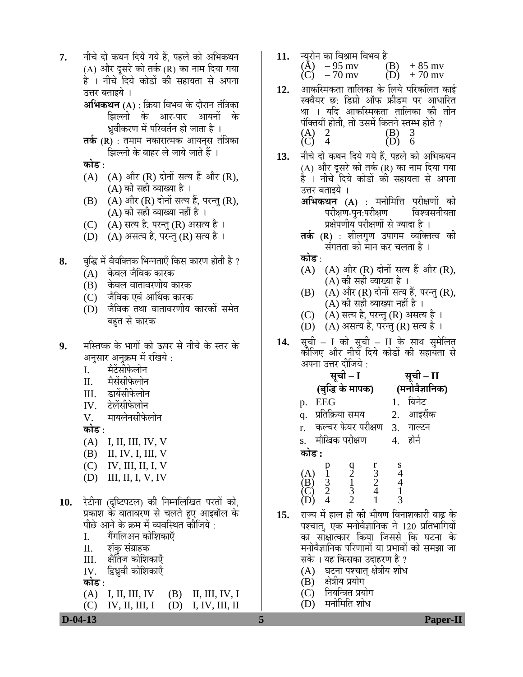- 7. नीचे दो कथन दिये गये हैं. पहले को अभिकथन (A) और दुसरे को तर्क (R) का नाम दिया गया है । नीचे दिये कोडों की सहायता से अपना उत्तर बताइये ।
	- **अभिकथन (A)** : क्रिया विभव के दौरान तंत्रिका झिल्ली के आर-पार आयनों के <u>ध्र</u>वीकरण में परिवर्तन हो जाता है ।
	- **तर्क (R)** : तमाम नकारात्मक आयनस तंत्रिका झिल्ली के बाहर ले जाये जाते हैं ।

<u>कोड़ ·</u>

- $(A)$   $(A)$  और  $(R)$  दोनों सत्य हैं और  $(R)$ , (A) की सही व्याख्या है ।
- $(B)$   $(A)$  और  $(R)$  दोनों सत्य हैं, परन्तु  $(R)$ , (A) की सही व्याख्या नहीं है ।
- (C) (A) सत्य है, परन्तु (R) असत्य है ।
- $(D)$   $(A)$  असत्य है, परन्तु  $(R)$  सत्य है ।
- **8.** बद्धि में वैयक्तिक भिन्नताएँ किस कारण होती है ?
	- (A) केवल जैविक कारक
	- (B) केवल वातावरणीय कारक
	- (C) जैविक एवं आर्थिक कारक
	- (D) जैविक तथा वातावरणीय कारकों समेत बहत से कारक
- **9.** मस्तिष्क के भागों को ऊपर से नीचे के स्तर के अनुसार अनुक्रम में रखिये :<br>I. मैटेंसीफेलोन
	- I. मैटेंसीफेलोन<br>II. मैसेंसीफेलोन
	- मैसेंसीफेलोन
	- III. डायेंसीफेलोन<br>IV. टेलेंसीफेलोन
	- टेलेंसीफेलोन
	- $V =$  मायलेनसीफेलोन

**कोड** :

- (A) I, II, III, IV, V
- (B) II, IV, I, III, V
- (C) IV, III, II, I, V
- (D) III, II, I, V, IV
- 10. रेटीना (दृष्टिपटल) की निम्नलिखित परतों को, प्रकाश के वातावरण से चलते हए आइबॉल के पीछे आने के क्रम में व्यवस्थित कीजिये :<br>I. गैंगलिअन कोशिकाएँ
	- I. गैंगलिअन कोशिकाएँ<br>II. शंक संग्राहक
	- II. शंकु संग्राहक<br>III. क्षेतिज कोशि
	- क्षेतिज कोशिकाएँ
	- $IV.$  द्विध्रवी कोशिकाएँ

**कोड़** ·

 (A) I, II, III, IV (B) II, III, IV, I (C) IV, II, III, I (D) I, IV, III, II

**11.** न्यूरोन का विश्राम विभव है<br>
(A) – 95 mv (B) + 85 mv<br>
(C) – 70 mv (D) + 70 mv  $(\text{A})$  – 95 mv (B) + 85 mv  $\text{(C)} - 70 \text{ mv}$   $\text{(D)} + 70 \text{ mv}$ 

- 12. आकस्मिकता तालिका के लिये परिकलित काई स्क्वैयर छ: डिग्री ऑफ फ्रीडम पर आधारित था । यदि आकस्मिकता तालिका की तीन ¯ÖÓ׌ŸÖµÖÖÑ ÆüÖêŸÖß, ŸÖÖê ˆÃÖ´Öë ×ÛúŸÖ®Öê ßִ³Ö ÆüÖêŸÖê ? (A) 2 (B) 3<br>(C) 4 (D) 6  $(C)$  4 (D) 6
- 13. नीचे दो कथन दिये गये हैं, पहले को अभिकथन (A) और दूसरे को तर्क (R) का नाम दिया गया है । नीचे दिये कोडों की सहायता से अपना उत्तर बताइये ।
	- **अभिकथन (A)** : मनोमित्ति परीक्षणों की<br>परीक्षण-पन:परीक्षण विश्वसनीयता परीक्षण-पन:परीक्षण प्रक्षेपणीय परीक्षणों से ज्यादा है ।
	- **तर्क (R)** : शीलगुण उपागम व्यक्तित्व की<br>संगतता को मान कर चलता है ।

<u>कोड ·</u>

- $(A)$   $(A)$  और  $(R)$  दोनों सत्य हैं और  $(R)$ , (A) की सही व्याख्या है ।
- (B)  $(A)$  और  $(R)$  दोनों सत्य हैं, परन्तु (R), (A) की सही व्याख्या नहीं है ।
- (C) ) (A) सत्य है, परन्तु (R) असत्य है)।
- (D) (A) असत्य है, परन्तु (R) सत्य है ।
- 14. सूची I को सूची II के साथ सुमेलित<br>कोजिए और नीचे दिये कोडों की सहायता से अपना उत्तर दीजिये  $\cdot$

|       | सूची – I        |                                           |               |   | सूची – II                    |
|-------|-----------------|-------------------------------------------|---------------|---|------------------------------|
|       |                 | (बुद्धि के मापक)                          |               |   | (मनोवैज्ञानिक)               |
| p.    | <b>EEG</b>      |                                           |               |   | बिनेट                        |
| q.    | प्रतिक्रिया समय |                                           |               |   | 2. आइसैंक                    |
| r.    |                 |                                           |               |   | कल्चर फेयर परीक्षण 3. गाल्टन |
| S.    | मौखिक परीक्षण   |                                           |               |   | होर्न                        |
| कोड : |                 |                                           |               |   |                              |
|       | $\frac{3}{2}$   | $\frac{9}{2}$ $\frac{1}{3}$ $\frac{3}{2}$ | $\frac{r}{3}$ | s |                              |

- 15. राज्य में हाल ही की भीषण विनाशकारी बाढ़ के पश्चात्, एक मनोवैज्ञानिक ने 120 प्रतिभागियों का साक्षात्कार किया जिससे कि घटना के मनोवैज्ञानिक परिणामों या प्रभावों को समझा जा सके । यह किसका उदाहरण है ?
	- (A) ) घटना पश्चात् क्षेत्रीय शोध<br>(B) क्षेत्रीय प्रयोग
	- क्षेत्रीय प्रयोग
	- (C) नियन्त्रित प्रयोग
	- (D) मनोमिति शोध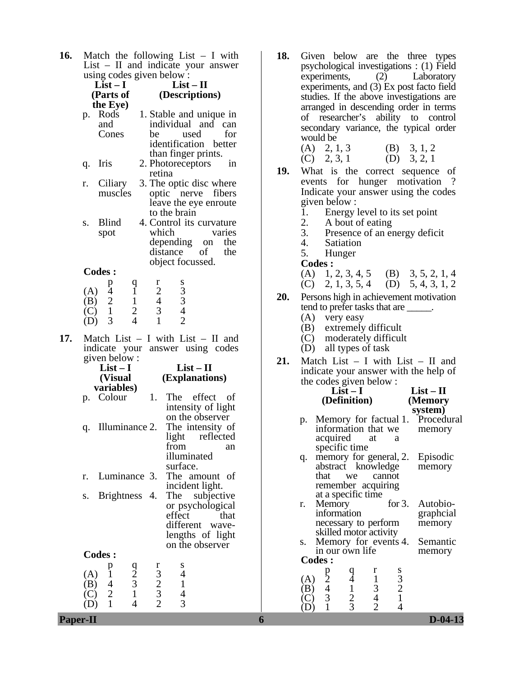**16.** Match the following List – I with List – II and indicate your answer using codes given below :

|     |     | using codes given below:                                                    |                                                              |                                                  |                                                 |                          |
|-----|-----|-----------------------------------------------------------------------------|--------------------------------------------------------------|--------------------------------------------------|-------------------------------------------------|--------------------------|
|     |     | $List-I$                                                                    |                                                              |                                                  | $List - II$                                     |                          |
|     |     | (Parts of                                                                   |                                                              |                                                  |                                                 | (Descriptions)           |
|     |     | the Eye)                                                                    |                                                              |                                                  |                                                 |                          |
|     | p.  | Rods                                                                        |                                                              |                                                  |                                                 | 1. Stable and unique in  |
|     |     | and                                                                         |                                                              |                                                  |                                                 | individual and can       |
|     |     | Cones                                                                       |                                                              | be                                               |                                                 | used<br>for              |
|     |     |                                                                             |                                                              |                                                  |                                                 | identification better    |
|     |     |                                                                             |                                                              |                                                  |                                                 | than finger prints.      |
|     | q.  | Iris                                                                        |                                                              |                                                  | 2. Photoreceptors                               | 1n                       |
|     |     |                                                                             |                                                              | retina                                           |                                                 |                          |
|     |     |                                                                             |                                                              |                                                  |                                                 |                          |
|     | r.  | Ciliary                                                                     |                                                              |                                                  |                                                 | 3. The optic disc where  |
|     |     | muscles                                                                     |                                                              |                                                  |                                                 | optic nerve fibers       |
|     |     |                                                                             |                                                              |                                                  |                                                 | leave the eye enroute    |
|     |     |                                                                             |                                                              |                                                  | to the brain                                    |                          |
|     | S.  | <b>Blind</b>                                                                |                                                              |                                                  |                                                 | 4. Control its curvature |
|     |     | spot                                                                        |                                                              | which                                            |                                                 | varies                   |
|     |     |                                                                             |                                                              |                                                  |                                                 | depending on<br>the      |
|     |     |                                                                             |                                                              |                                                  | distance                                        | of<br>the                |
|     |     |                                                                             |                                                              |                                                  | object focussed.                                |                          |
|     |     | <b>Codes:</b>                                                               |                                                              |                                                  |                                                 |                          |
|     |     | p                                                                           |                                                              | r                                                |                                                 |                          |
|     |     | (A) $\begin{array}{cc} 4 \\ 4 \\ (B) & 2 \\ (C) & 1 \\ (D) & 3 \end{array}$ | $\frac{q}{1}$                                                |                                                  | $\frac{8}{3}$<br>$\frac{3}{4}$<br>$\frac{4}{2}$ |                          |
|     |     |                                                                             |                                                              | $\begin{array}{c} 2 \\ 4 \\ 3 \\ 1 \end{array}$  |                                                 |                          |
|     |     |                                                                             | $\begin{array}{c} 1 \\ 2 \\ 4 \end{array}$                   |                                                  |                                                 |                          |
|     |     |                                                                             |                                                              |                                                  |                                                 |                          |
|     |     |                                                                             |                                                              |                                                  |                                                 |                          |
| 17. |     | Match List -                                                                |                                                              |                                                  |                                                 | I with List - II and     |
|     |     |                                                                             |                                                              |                                                  |                                                 |                          |
|     |     |                                                                             |                                                              |                                                  |                                                 |                          |
|     |     | indicate your                                                               |                                                              |                                                  |                                                 | answer using codes       |
|     |     | given below:                                                                |                                                              |                                                  |                                                 |                          |
|     |     | $List-I$                                                                    |                                                              |                                                  |                                                 | $List - II$              |
|     |     | (Visual                                                                     |                                                              |                                                  |                                                 | (Explanations)           |
|     |     | variables)                                                                  |                                                              |                                                  |                                                 |                          |
|     |     | p. Colour                                                                   |                                                              | 1.                                               |                                                 | The effect of            |
|     |     |                                                                             |                                                              |                                                  |                                                 | intensity of light       |
|     |     |                                                                             |                                                              |                                                  |                                                 | on the observer          |
|     | q.  | Illuminance 2.                                                              |                                                              |                                                  |                                                 | The intensity of         |
|     |     |                                                                             |                                                              |                                                  | light                                           | reflected                |
|     |     |                                                                             |                                                              |                                                  | from                                            | an                       |
|     |     |                                                                             |                                                              |                                                  | illuminated                                     |                          |
|     |     |                                                                             |                                                              |                                                  | surface.                                        |                          |
|     | r.  |                                                                             |                                                              |                                                  |                                                 |                          |
|     |     | Luminance 3.                                                                |                                                              |                                                  |                                                 | The amount of            |
|     |     |                                                                             |                                                              |                                                  |                                                 | incident light.          |
|     | S.  | <b>Brightness</b>                                                           |                                                              | 4.                                               | The                                             | subjective               |
|     |     |                                                                             |                                                              |                                                  |                                                 | or psychological         |
|     |     |                                                                             |                                                              |                                                  | effect                                          | that                     |
|     |     |                                                                             |                                                              |                                                  | different                                       | wave-                    |
|     |     |                                                                             |                                                              |                                                  |                                                 | lengths of light         |
|     |     |                                                                             |                                                              |                                                  |                                                 | on the observer          |
|     |     | <b>Codes:</b>                                                               |                                                              |                                                  |                                                 |                          |
|     |     | p                                                                           |                                                              |                                                  | S                                               |                          |
|     | (A) | $\mathbf{i}$                                                                |                                                              |                                                  | $\overline{4}$                                  |                          |
|     | (B) |                                                                             |                                                              |                                                  | $\mathbf{1}$                                    |                          |
|     | C)  | $\begin{array}{c} 4 \\ 2 \\ 1 \end{array}$                                  | $\begin{array}{c}\n 9 \\  2 \\  3 \\  1 \\  4\n \end{array}$ | $\begin{array}{c} 1 \ 3 \ 2 \ 3 \ 2 \end{array}$ | $\frac{4}{3}$                                   |                          |

**18.** Given below are the three types psychological investigations : (1) Field<br>experiments. (2) Laboratory  $experiments.$  (2) experiments, and (3) Ex post facto field studies. If the above investigations are arranged in descending order in terms of researcher's ability to control secondary variance, the typical order would be

| $(A)$ 2, 1, 3 | (B) $3, 1, 2$ |
|---------------|---------------|
| $(C)$ 2, 3, 1 | $(D)$ 3, 2, 1 |

- **19.** What is the correct sequence of events for hunger motivation ? Indicate your answer using the codes given below :<br>1. Energy l
	- 1. Energy level to its set point<br>2. A bout of eating
	- 2. A bout of eating<br>3. Presence of an en
	- 3. Presence of an energy deficit
	- 4. Satiation<br>5. Hunger
		- **Hunger**
	- **Codes :**

| (A) $1, 2, 3, 4, 5$ (B) $3, 5, 2, 1, 4$ |  |  |
|-----------------------------------------|--|--|
|                                         |  |  |

- (C) 2, 1, 3, 5, 4 (D) 5, 4, 3, 1, 2
- **20.** Persons high in achievement motivation tend to prefer tasks that are \_\_\_\_\_.
	- (A) very easy
	- (B) extremely difficult
	- (C) moderately difficult
	- (D) all types of task
- **21.** Match List I with List II and indicate your answer with the help of the codes given below : **List – II**

|                   |                                                              | $List-I$                                        |                                                 |                                         | $List - II$                      |
|-------------------|--------------------------------------------------------------|-------------------------------------------------|-------------------------------------------------|-----------------------------------------|----------------------------------|
|                   |                                                              | (Definition)                                    |                                                 |                                         | (Memory                          |
|                   |                                                              |                                                 |                                                 |                                         | system)                          |
| p.                |                                                              |                                                 |                                                 |                                         | Memory for factual 1. Procedural |
|                   |                                                              | information that we                             |                                                 |                                         | memory                           |
|                   |                                                              | acquired at                                     |                                                 | a                                       |                                  |
|                   |                                                              | specific time                                   |                                                 |                                         |                                  |
| q.                |                                                              |                                                 |                                                 | memory for general, 2.                  | Episodic                         |
|                   |                                                              | abstract knowledge                              |                                                 |                                         | memory                           |
|                   | that                                                         | we                                              | cannot                                          |                                         |                                  |
|                   |                                                              | remember acquiring                              |                                                 |                                         |                                  |
|                   |                                                              | at a specific time                              |                                                 |                                         |                                  |
| r.                | Memory                                                       |                                                 |                                                 | for $3$ .                               | Autobio-                         |
|                   | information                                                  |                                                 |                                                 |                                         | graphcial                        |
|                   |                                                              | necessary to perform                            |                                                 |                                         | memory                           |
|                   |                                                              | skilled motor activity                          |                                                 |                                         |                                  |
| S.                |                                                              |                                                 |                                                 | Memory for events 4.<br>in our own life | Semantic                         |
|                   |                                                              |                                                 |                                                 |                                         | memory                           |
|                   | <b>Codes:</b>                                                |                                                 |                                                 |                                         |                                  |
|                   |                                                              |                                                 | r                                               |                                         |                                  |
| $\left( A\right)$ |                                                              |                                                 |                                                 |                                         |                                  |
| $\sum_{c}$        | $\begin{array}{c}\n 1 \\  2 \\  4 \\  3 \\  1\n \end{array}$ | $\begin{array}{c} q \\ 4 \\ 2 \\ 3 \end{array}$ | $\begin{array}{c} 1 \\ 3 \\ 4 \\ 2 \end{array}$ | $\frac{8}{3}$<br>2<br>1                 |                                  |
| C                 |                                                              |                                                 |                                                 |                                         |                                  |
|                   |                                                              |                                                 |                                                 | $\overline{4}$                          |                                  |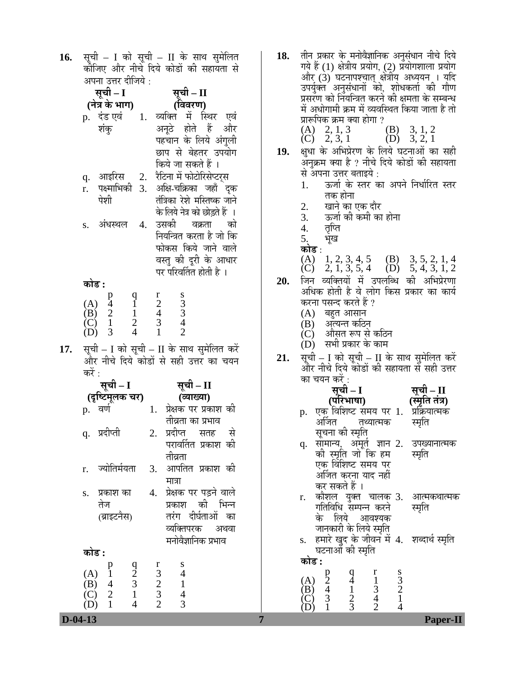16. सूची – I को सूची – II के साथ सुमेलित कीजिए और नीचे दिये कोडों की सहायता से अपना उत्तर दीजिये :

| सूची – I                                                                                                                        | सूची – II                                                                                   |
|---------------------------------------------------------------------------------------------------------------------------------|---------------------------------------------------------------------------------------------|
| (नेत्र के भाग)                                                                                                                  | (विवरण)                                                                                     |
| p.   दंड एवं<br>1.                                                                                                              | व्यक्ति में स्थिर एवं                                                                       |
| शंकु                                                                                                                            | अनूठे होते हैं और                                                                           |
|                                                                                                                                 | पहचान के लिये अंगुली                                                                        |
|                                                                                                                                 | छाप से बेहतर उपयोग                                                                          |
|                                                                                                                                 | किये जा सकते हैं ।                                                                          |
| आइरिस<br>2.<br>q.                                                                                                               | रैटिना में फोटोरिसेप्टर्स                                                                   |
| पक्ष्माभिकी 3.<br>r.                                                                                                            | अक्षि-चक्रिका जहाँ दुक                                                                      |
| पेशी                                                                                                                            | तंत्रिका रेशे मस्तिष्क जाने                                                                 |
|                                                                                                                                 | के लिये नेत्र को छोड़ते हैं ।                                                               |
| अंधस्थल<br>4.<br>S.                                                                                                             | उसकी वक्रता को                                                                              |
|                                                                                                                                 | नियन्त्रित करता है जो कि                                                                    |
|                                                                                                                                 | फोकस किये जाने वाले                                                                         |
|                                                                                                                                 | वस्तु की दूरी के आधार                                                                       |
|                                                                                                                                 | पर परिवर्तित होती है ।                                                                      |
| कोड :                                                                                                                           |                                                                                             |
|                                                                                                                                 |                                                                                             |
|                                                                                                                                 | $\begin{array}{c} r \\ 2 \\ 4 \\ 3 \\ 1 \end{array}$<br>$\frac{8}{3}$<br>$\frac{3}{4}$<br>2 |
|                                                                                                                                 |                                                                                             |
| $\begin{bmatrix} 0 \\ 1 \\ 2 \\ 4 \end{bmatrix}$<br>(A) $\begin{array}{cc} p \\ 4 \\ (B) & 2 \\ (C) & 1 \\ (D) & 3 \end{array}$ |                                                                                             |
|                                                                                                                                 |                                                                                             |

17. सूची – I को सूची – II के साथ सुमेलित करें और नीचे दिये कोडों से सही उत्तर का चयन करें :

|       | सूची – I                                                                                        |                                                 | सूची – II                             |
|-------|-------------------------------------------------------------------------------------------------|-------------------------------------------------|---------------------------------------|
|       | (दृष्टिमूलक चर)                                                                                 |                                                 | (व्याख्या)                            |
| p.    | ंवर्ण                                                                                           | 1.                                              | प्रेक्षक पर प्रकाश की                 |
|       |                                                                                                 |                                                 | तीव्रता का प्रभाव                     |
|       | q. प्रदीप्ती                                                                                    | 2.                                              | प्रदीप्त सतह से                       |
|       |                                                                                                 |                                                 | परावर्तित प्रकाश की                   |
|       |                                                                                                 |                                                 | तीव्रता                               |
| r.    | ज्योतिर्मयता                                                                                    | 3.                                              | आपतित प्रकाश की                       |
|       |                                                                                                 |                                                 | मात्रा                                |
| S.    | प्रकाश का                                                                                       | 4.                                              | प्रेक्षक पर पड़ने वाले                |
|       | तेज                                                                                             |                                                 | प्रकाश की भिन्न                       |
|       | (ब्राइटनैस)                                                                                     |                                                 | तरंग दीर्घताओं का                     |
|       |                                                                                                 |                                                 | व्यक्तिपरक अथवा                       |
|       |                                                                                                 |                                                 | मनोवैज्ञानिक प्रभाव                   |
| कोड : |                                                                                                 |                                                 |                                       |
|       |                                                                                                 | r                                               | ${\bf S}$                             |
|       | $\frac{q}{2}$<br>3                                                                              |                                                 | $\begin{array}{c} 4 \\ 1 \end{array}$ |
|       | $\tilde{1}$                                                                                     |                                                 | $\overline{4}$                        |
|       | (A) $\begin{array}{cc} & p \\ 1 \\ (B) & 4 \\ (C) & 2 \\ (D) & 1 \end{array}$<br>$\overline{4}$ | $\begin{array}{c} 3 \\ 2 \\ 3 \\ 2 \end{array}$ | 3                                     |

18. तीन प्रकार के मनोवैज्ञानिक अनुसंधान नीचे दिये गये हैं (1) क्षेत्रीय प्रयोग, (2) प्रयोगशाला प्रयोग<br>और (3) घटनापश्चात् क्षेत्रीय अध्ययन । यदि उपर्युक्त अनुसंधानों को, शोधकर्ता की गौण प्रसरण को नियन्त्रित करने की क्षमता के सम्बन्ध में अधोगामी क्रम में व्यवस्थित किया जाता है तो प्रारूपिक क्रम क्या होगा ?

| (A) $2, 1, 3$<br>(C) $2, 3, 1$ | (B) $3, 1, 2$<br>(D) $3, 2, 1$ |
|--------------------------------|--------------------------------|

- **19.** õÖã¬ÖÖ Ûêú †×³Ö¯ÖÏê¸üÞÖ Ûêú ×»ÖµÖê 'Ö™ü®ÖÖ†Öë ÛúÖ ÃÖÆüß ँ<br>अनुक्रम क्या है ? नीचे दिये कोडों की सहायता से अपना उत्तर बताइये :<br>1. ऊर्जा के स्तर क
	- ऊर्जा के स्तर का अपने निर्धारित स्तर तक होना
	- 2. खाने का एक दौर<br>3. ऊर्जा की कमी का
	- 3. जिंजी की कमी का होना<br>4. तिप्ति
	- 4. तृप्ति<br>5. भूख
	-
	- **कोड** :

#### (A)  $1, 2, 3, 4, 5$  (B)  $3, 5, 2, 1, 4$ (C) 2, 1, 3, 5, 4 (D) 5, 4, 3, 1, 2

- 20. जिन व्यक्तियों में उपलब्धि की अभिप्रेरणा अधिक होती है वे लोग किस प्रकार का कार्य करना पसन्द करते हैं ?
	- $(A)$  बहुत आसान
	- $(B)$  ) अत्यन्त कठिन
	- $\tilde{C}$ ( $\tilde{C}$ ) औसत रूप से कठिन
	- $(D)$  सभी प्रकार के काम
- **21.** सूची I को सूची II के साथ सुमेलित करें<br>और नीचे दिये कोडों की सहायता से सही उत्तर का चयन करें $\cdot$

|       | सूची – I                                                                                            | सूची – II    |
|-------|-----------------------------------------------------------------------------------------------------|--------------|
|       | (परिभाषा)<br>( <b>परिभाषा)              (स्मृति तंत्र)</b><br>एक् विशिष्ट समय पर 1.   प्रक्रियात्मक |              |
| p.    |                                                                                                     |              |
|       | अर्जित<br>तथ्यात्मक                                                                                 | स्मृति       |
|       | सूचना की स्मृति                                                                                     |              |
| q.    | सामान्य, अमूर्तु ज्ञान 2.                                                                           | उपख्यानात्मक |
|       | की स्मृति जो कि हम                                                                                  | स्मृति       |
|       | एक विंशिष्ट समय पर                                                                                  |              |
|       | अर्जित करना याद नहीं                                                                                |              |
|       | कर सकते हैं ।                                                                                       |              |
| r.    | कौशल युक्त चालक 3. आत्मकथात्मक                                                                      |              |
|       | गतिविधि सम्पन्न करने                                                                                | स्मृति       |
|       | के लिये आवश्यक                                                                                      |              |
|       | जानकारी के लिये स्मृति                                                                              |              |
| S.    | हमारे खुद के जीवन में 4. शब्दार्थ स्मृति                                                            |              |
|       | घटनाओं की स्मृति                                                                                    |              |
| काड : |                                                                                                     |              |

|                         | $\gamma$      |   | 3  |
|-------------------------|---------------|---|----|
| $(A)$<br>$(B)$<br>$(C)$ | $\mathcal{L}$ | ി | ΄) |
|                         |               |   |    |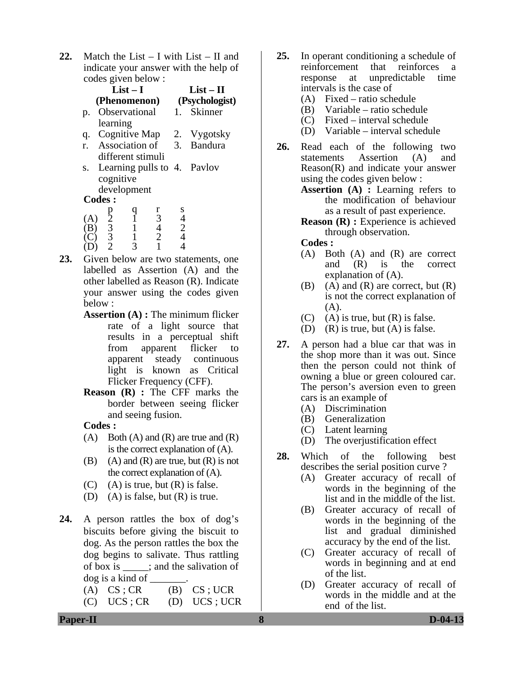**22.** Match the List – I with List – II and indicate your answer with the help of codes given below :

|     |                                                       | $List-I$                         |                |                   | $List-II$                   |
|-----|-------------------------------------------------------|----------------------------------|----------------|-------------------|-----------------------------|
|     |                                                       |                                  |                |                   | (Phenomenon) (Psychologist) |
| p.  |                                                       | Observational                    |                | $\blacksquare$ 1. | Skinner                     |
|     | learning                                              |                                  |                |                   |                             |
| q.  |                                                       |                                  |                |                   | Cognitive Map 2. Vygotsky   |
| r.  |                                                       |                                  |                |                   | Association of 3. Bandura   |
|     |                                                       | different stimuli                |                |                   |                             |
| S.  |                                                       |                                  |                |                   | Learning pulls to 4. Pavlov |
|     | cognitive                                             |                                  |                |                   |                             |
|     |                                                       | development                      |                |                   |                             |
|     | <b>Codes:</b>                                         |                                  |                |                   |                             |
|     |                                                       |                                  | r              | S                 |                             |
| (A) |                                                       | $\overline{1}$<br>$\overline{1}$ | $\mathfrak{Z}$ | $\frac{4}{2}$     |                             |
|     |                                                       | $\mathbf{1}$                     | $\frac{4}{2}$  | $\overline{4}$    |                             |
|     | $\begin{bmatrix} p \\ 2 \\ 3 \\ 3 \\ 2 \end{bmatrix}$ |                                  |                |                   |                             |
|     |                                                       |                                  |                |                   |                             |

- **23.** Given below are two statements, one labelled as Assertion (A) and the other labelled as Reason (R). Indicate your answer using the codes given below :
	- **Assertion (A) :** The minimum flicker rate of a light source that results in a perceptual shift from apparent flicker to apparent steady continuous light is known as Critical Flicker Frequency (CFF).
	- **Reason (R) :** The CFF marks the border between seeing flicker and seeing fusion.

### **Codes :**

- $(A)$  Both  $(A)$  and  $(R)$  are true and  $(R)$ is the correct explanation of (A).
- (B) (A) and  $(R)$  are true, but  $(R)$  is not the correct explanation of (A).
- $(C)$  (A) is true, but  $(R)$  is false.
- (D) (A) is false, but (R) is true.
- **24.** A person rattles the box of dog's biscuits before giving the biscuit to dog. As the person rattles the box the dog begins to salivate. Thus rattling of box is \_\_\_\_\_; and the salivation of dog is a kind of \_\_\_\_\_\_\_.
	- $(A) \text{CS}$ ; CR  $(B) \text{CS}$ ; UCR
	- (C) UCS ; CR (D) UCS ; UCR
- **25.** In operant conditioning a schedule of reinforcement that reinforces a response at unpredictable time intervals is the case of
	- (A) Fixed ratio schedule
	- (B) Variable ratio schedule
	- (C) Fixed interval schedule
	- (D) Variable interval schedule
- **26.** Read each of the following two statements Assertion (A) and Reason(R) and indicate your answer using the codes given below :
	- **Assertion (A) :** Learning refers to the modification of behaviour as a result of past experience.
	- **Reason (R) :** Experience is achieved through observation.

#### **Codes :**

- (A) Both (A) and (R) are correct and (R) is the correct explanation of (A).
- $(B)$  (A) and  $(R)$  are correct, but  $(R)$ is not the correct explanation of  $(A)$ .
- $(C)$  (A) is true, but  $(R)$  is false.
- (D) (R) is true, but (A) is false.
- **27.** A person had a blue car that was in the shop more than it was out. Since then the person could not think of owning a blue or green coloured car. The person's aversion even to green cars is an example of
	- (A) Discrimination
	- (B) Generalization
	- (C) Latent learning
	- (D) The overjustification effect
- **28.** Which of the following best describes the serial position curve ?
	- (A) Greater accuracy of recall of words in the beginning of the list and in the middle of the list.
	- (B) Greater accuracy of recall of words in the beginning of the list and gradual diminished accuracy by the end of the list.
	- (C) Greater accuracy of recall of words in beginning and at end of the list.
	- (D) Greater accuracy of recall of words in the middle and at the end of the list.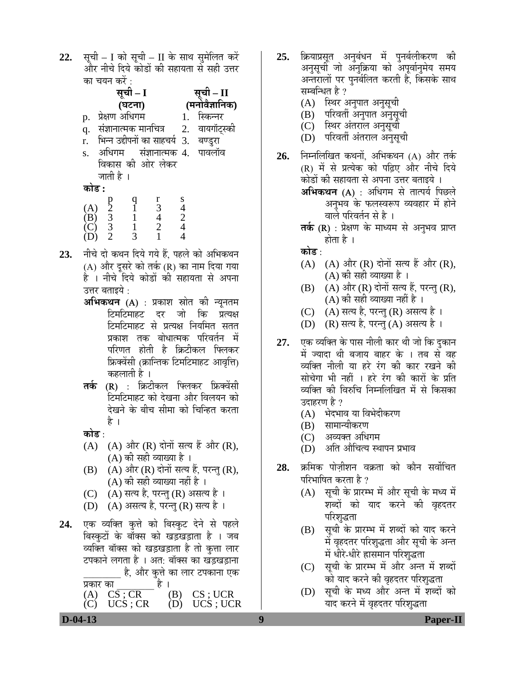22. सूची – I को सूची – II के साथ सुमेलित करें और नीचे दिये कोडों की सहायता से सही उत्तर का चयन करें :

|                            |                                                       | सूची – I       |                |               | $-$ II                                |  |
|----------------------------|-------------------------------------------------------|----------------|----------------|---------------|---------------------------------------|--|
|                            |                                                       | (घटना)         |                |               | (मनोवैज्ञानिक)                        |  |
| p.                         |                                                       | प्रेक्षण अधिगम |                |               | स्किन्नर                              |  |
| q.                         | संज्ञानात्मक मानचित्र                                 |                |                |               | 2. वायगॉट्स्की                        |  |
| r.                         |                                                       |                |                |               | भिन्न उद्दीपनों का साहचर्य 3. बण्डुरा |  |
| S.                         |                                                       |                |                |               | अधिगम संज्ञानात्मक 4. पावलॉव          |  |
|                            | विकास की ओर लेकर                                      |                |                |               |                                       |  |
|                            | जाती है ।                                             |                |                |               |                                       |  |
| कोड :                      |                                                       |                |                |               |                                       |  |
|                            |                                                       |                | r              | S             |                                       |  |
| (A)                        |                                                       |                | $\frac{1}{4}$  |               |                                       |  |
| $\left( \mathbf{B}\right)$ |                                                       |                | $\overline{2}$ | $\frac{4}{2}$ |                                       |  |
|                            | $\begin{bmatrix} p \\ 2 \\ 3 \\ 3 \\ 2 \end{bmatrix}$ |                |                |               |                                       |  |

- 23. नीचे दो कथन दिये गये हैं. पहले को अभिकथन (A) और दूसरे को तर्क (R) का नाम दिया गया है । नीचे दिये कोडों की सहायता से अपना उत्तर बताइये :
	- **अभिकथन (A)** : प्रकाश स्रोत की न्यूनतम <u>टिमटिमाहट दर जो कि प्रत्यक्ष</u> <u>टिमटिमाहट से प्रत्यक्ष नियमित सतत</u> प्रकाश तक बोधात्मक परिवर्तन में परिणत होती है क्रिटीकल फ्लिकर फ्रिक्वेंसी (क्रान्तिक टिमटिमाहट आवृत्ति) कहलाती है ।
	- **तर्क (R) : क्रिटीकल फ्लिकर फ्रिक्वेंसी** टिमटिमाहट को देखना और विलयन को देखने के बीच सीमा को चिन्हित करता है ।
	- <u>कोड़ :</u>
	- $(A)$   $(A)$  और  $(R)$  दोनों सत्य हैं और  $(R)$ , (A) की सही व्याख्या है ।
	- $(B)$   $(A)$  और  $(R)$  दोनों सत्य हैं, परन्तु  $(R)$ ,  $(A)$  की सही व्याख्या नहीं है ।
	- (C) (A) सत्य है, परन्तु (R) असत्य है ।
	- $(D)$   $(A)$  असत्य है, परन्तु  $(R)$  सत्य है ।
- **24.** एक व्यक्ति कुत्ते को बिस्कुट देने से पहले बिस्कटों के बॉक्स को खड़खड़ाता है । जब व्यक्ति बॉक्स को खड़खड़ाता है तो कुत्ता लार टपकाने लगता है । अत: बॉक्स का खड़खड़ाना है, और कुत्ते का लार टपकाना एक<br>ंहै ।

प्रकार का $\overline{\text{CS}:\text{CR}}$  है ।<br>(A)  $\overline{\text{CS}:\text{CR}}$  (B) (A)  $\overline{CS; CR}$  (B)  $\overline{CS; UC}$ <br>(C)  $\overline{UCS; CR}$  (D)  $\overline{UCS; UC}$  $(C)$  UCS; CR  $(D)$  UCS; UCR

- **25.** क्रियाप्रसूत अनुबंधन में पुनर्बलीकरण की अनुसूची जो अनुक्रिया को अपूर्वानुमेय समय अन्तरालों पर पुनर्बलित करती है, किसके साथ सम्बन्धित है ?
	- (A) स्थिर अनुपात अनुसूची
	- (B) परिवर्ती अनुपात अनुसूची
	- (C) स्थिर अंतराल अनुसूची
	- (D) परिवर्ती अंतराल अनुसूची
- **26.** निम्नलिखित कथनों, अभिकथन (A) और तर्क (R) में से प्रत्येक को पढ़िए और नीचे दिये <u>कोडों की सहायता से अपना उत्तर बताइये</u> । **अभिकथन (A)** : अधिगम से तात्पर्य पिछले अनुभव के फलस्वरूप व्यवहार में होने वाले परिवर्तन से है ।
	- **तक (R)** : प्रेक्षण के माध्यम से अनुभव प्राप्त होता है ।
	- <u>कोड ·</u>
	- $(A)$   $(A)$  और  $(R)$  दोनों सत्य हैं और  $(R)$ , (A) की सही व्याख्या है ।
	- $(B)$   $(A)$  और  $(R)$  दोनों सत्य हैं, परन्तु  $(R)$ , (A) की सही व्याख्या नहीं है ।
	- (C) (A) सत्य है, परन्तु (R) असत्य है ।
	- (D) (R) सत्य है, परन्तु (A) असत्य है ।
- **27.** एक व्यक्ति के पास नीली कार थी जो कि दुकान में ज्यादा थी बजाय बाहर के । तब से वह व्यक्ति नीली या हरे रंग की कार रखने की सोचेगा भी नहीं । हरे रंग की कारों के प्रति व्यक्ति की विरुचि निम्नलिखित में से किसका उदाहरण है ?
	- (A) भेदभाव या विभेदीकरण
	- (B) सामान्यीकरण
	- (C) अव्यक्त अधिगम
	- (D) अति औचित्य स्थापन प्रभाव
- **28.** क्रमिक पोजीशन वक्रता को कौन सर्वोचित परिभाषित करता है ?
	- (A) सूची के प्रारम्भ में और सूची के मध्य में शब्दों को याद करने की वृहदतर परिशुद्धता
	- (B) सूची के प्रारम्भ में शब्दों को याद करने में वृहदतर परिशृद्धता और सूची के अन्त में धीरे-धीरे ह्रासमान परिशुद्धता
	- (C) सूची के प्रारम्भ में और अन्त में शब्दों को याद करने की वृहदतर परिशृद्धता
	- (D) सूची के मध्य और अन्त में शब्दों को याद करने में वृहदतर परिशुद्धता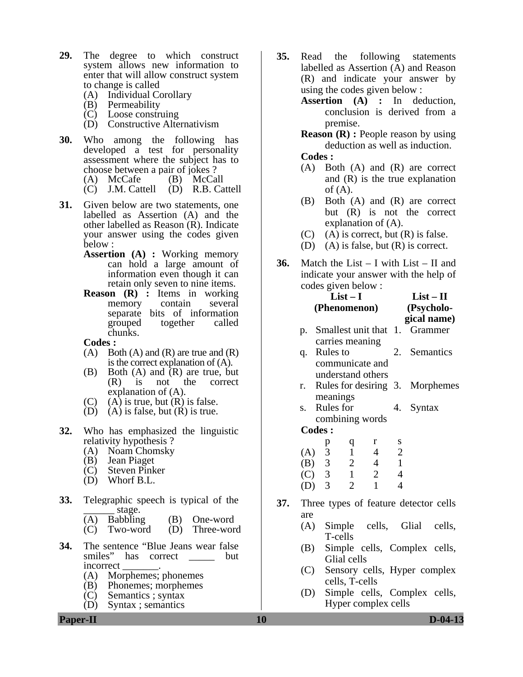- **29.** The degree to which construct system allows new information to enter that will allow construct system to change is called
	- (A) Individual Corollary
	- (B) Permeability
	- (C) Loose construing
	- (D) Constructive Alternativism
- **30.** Who among the following has developed a test for personality assessment where the subject has to choose between a pair of jokes ?<br>(A) McCafe (B) McCall (A) McCafe (B) McCall<br>(C) J.M. Cattell (D) R.B. Cattell  $(C)$  J.M. Cattell
- **31.** Given below are two statements, one labelled as Assertion (A) and the other labelled as Reason (R). Indicate your answer using the codes given below :
	- **Assertion (A) :** Working memory can hold a large amount of information even though it can retain only seven to nine items.
	- **Reason (R) :** Items in working memory contain several separate bits of information grouped together called chunks.
	- **Codes :**
	- $(A)$  Both  $(A)$  and  $(R)$  are true and  $(R)$ is the correct explanation of (A).
	- (B) Both (A) and (R) are true, but<br>(R) is not the correct (R) is not the correct explanation of (A).
	- $(C)$  (A) is true, but  $(R)$  is false.
	- (D) (A) is false, but  $(R)$  is true.
- **32.** Who has emphasized the linguistic relativity hypothesis ?
	- (A) Noam Chomsky
	- (B) Jean Piaget
	- (C) Steven Pinker
	- (D) Whorf B.L.
- **33.** Telegraphic speech is typical of the \_\_\_\_\_\_ stage.
	- (A) Babbling (B) One-word
	- (C) Two-word (D) Three-word
- **34.** The sentence "Blue Jeans wear false smiles" has correct but incorrect \_\_\_\_\_\_\_.
	- (A) Morphemes; phonemes
	- (B) Phonemes; morphemes
	- (C) Semantics ; syntax
	- (D) Syntax ; semantics
- **35.** Read the following statements labelled as Assertion (A) and Reason (R) and indicate your answer by using the codes given below :
	- **Assertion (A) :** In deduction, conclusion is derived from a premise.

**Reason (R) :** People reason by using deduction as well as induction.

- **Codes :**
- (A) Both (A) and (R) are correct and (R) is the true explanation of  $(A)$ .
- (B) Both (A) and (R) are correct but (R) is not the correct explanation of (A).
- $(C)$  (A) is correct, but  $(R)$  is false.
- (D) (A) is false, but (R) is correct.
- **36.** Match the List I with List II and indicate your answer with the help of codes given below :

|     |                                | $List-I$ | (Phenomenon)                              |                | $List-II$<br>(Psycholo-<br>gical name)           |  |
|-----|--------------------------------|----------|-------------------------------------------|----------------|--------------------------------------------------|--|
|     |                                |          |                                           |                | p. Smallest unit that 1. Grammer                 |  |
|     | carries meaning<br>q. Rules to |          | communicate and                           |                | 2. Semantics                                     |  |
|     | meanings                       |          | understand others                         |                | r. Rules for desiring 3. Morphemes               |  |
| S.  | Rules for                      |          |                                           |                | 4. Syntax                                        |  |
|     | <b>Codes:</b>                  |          | combining words                           |                |                                                  |  |
|     |                                |          |                                           |                |                                                  |  |
|     |                                |          |                                           |                |                                                  |  |
|     |                                |          | (A) 3 d r s<br>(B) 3 2 4 1<br>(C) 3 1 2 4 |                |                                                  |  |
|     |                                |          |                                           |                |                                                  |  |
|     | $(D)$ 3                        | 2        | $\overline{1}$                            | $\overline{4}$ |                                                  |  |
| are |                                |          |                                           |                | <b>37.</b> Three types of feature detector cells |  |
|     |                                |          |                                           |                | (A) Simple cells Glial cells                     |  |

- $(A)$  Simple T-cells
- (B) Simple cells, Complex cells, Glial cells
- (C) Sensory cells, Hyper complex cells, T-cells
- (D) Simple cells, Complex cells, Hyper complex cells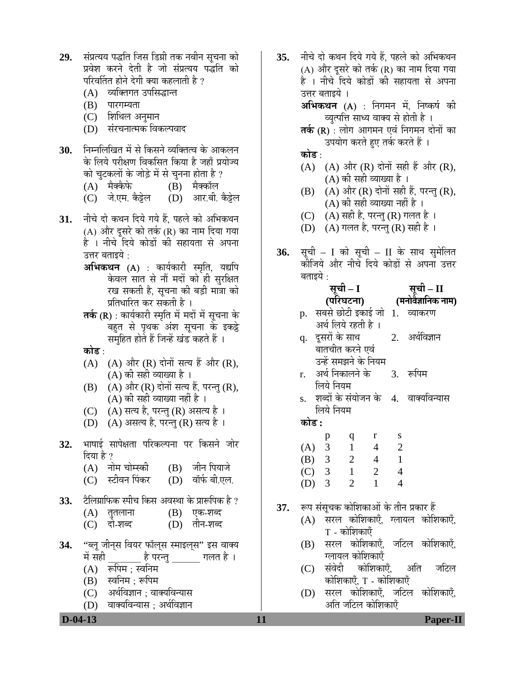- 29. संप्रत्यय पद्धति जिस डिग्री तक नवीन सूचना को प्रवेश करने देती है जो संप्रत्यय पद्धति को परिवर्तित होने देगी क्या कहलाती है ?
	- (A) व्यक्तिगत उपसिद्धान्त
	- $(B)$  पारगम्यता
	- (C) शिथिल अनुमान
	- (D) संरचनात्मक विकल्पवाद
- **30.** निम्नलिखित में से किसने व्यक्तित्व के आकलन के लिये परीक्षण विकसित किया है जहाँ प्रयोज्य को चटकलों के जोड़े में से चुनना होता है ?
	-
	- (A) मैक्कैफे (B) मैक्कॉल<br>(C) जे.एम. कैट्रेल (D) आर.बी. कैट्रेल (C) जे.एम. कैट्टेल
- 31. नीचे दो कथन दिये गये हैं. पहले को अभिकथन (A) और दुसरे को तर्क (R) का नाम दिया गया है । नीचे दिये कोडों की सहायता से अपना उत्तर बताइये :
	- **अभिकथन (A)** : कार्यकारी स्मृति, यद्यपि केवल सात से नौं मदों को ही सुरक्षित रख सकती है, सूचना की बड़ी मात्रा को प्रतिधारित कर सकती है ।
	- **तर्क (R)** : कार्यकारी स्मृति में मदों में सूचना के बहुत से पृथक अंश सूचना के इकट्ठे समुहित होते हैं जिन्हें खंड कहते हैं ।
	- **कोड** :
	- $(A)$   $(A)$  और  $(R)$  दोनों सत्य हैं और  $(R)$ , (A) की सही व्याख्या है ।
	- $(B)$   $(A)$  और  $(R)$  दोनों सत्य हैं, परन्तु  $(R)$ , (A) की सही व्याख्या नहीं है ।
	- (C) (A) सत्य है, परन्तु (R) असत्य है ।
	- (D)  $(A)$  असत्य है, परन्तु (R) सत्य है ।
- 32. भाषाई सापेक्षता परिकल्पना पर किसने जोर दिया है ?<br>(A) नोम चोम्स्की
	- (B) जीन पियाजे<br>(D) वॉर्फ बी.एल.
	- (C) स्टीवन पिंकर
- 33. ∑ैलिग्राफिक स्पीच किस अवस्था के प्रारूपिक है ?
	- $(A)$  तुतलाना  $(B)$  एक-शब्द (C) दो-शब्द (D) तीन-शब्द
- **34.** "ब्लू जीन्स वियर फॉल्स स्माइल्**स" इस वाक्य** में सही जिल्ला है ।<br>संसदी
	- $(A)$  रूपिम : स्वनिम
	- (B) स्वनिम ; रूपिम
	- (C) । अर्थविज्ञान : वाक्यविन्यास
	- (D) वाक्यविन्यास : अर्थविज्ञान

35. नीचे दो कथन दिये गये हैं. पहले को अभिकथन (A) और दूसरे को तर्क (R) का नाम दिया गया है । नीचे दिये कोडों की सहायता से अपना उत्तर बताइये ।

> **अभिकथन (A)** : निगमन में, निष्कर्ष की व्युत्पत्ति साध्य वाक्य से होती है ।

> **तर्क (R)** : लोग आगमन एवं निगमन दोनों का उपयोग करते हुए तर्क करते हैं ।

<u>कोड :</u>

- $(A)$   $(A)$  और  $(R)$  दोनों सही हैं और  $(R)$ , (A) की सही व्याख्या है ।
- (B)  $(A)$  और  $(R)$  दोनों सही हैं, परन्तु  $(R)$ , (A) की सही व्याख्या नहीं है ।
- $(C)$   $(A)$  सही है, परन्तु  $(R)$  गलत है ।
- (D)  $(A)$  गलत है, परन्तु (R) सही है ।
- **36.** सूची I को सूची II के साथ सुमेलित कीजिये और नीचे दिये कोडों से अपना उत्तर बताइये :

| सूची – II                    |
|------------------------------|
| (मनोवैज्ञानिक नाम)           |
| सबसे छोटी इकाई जो 1. व्याकरण |
|                              |
| अर्थविज्ञान                  |
|                              |
|                              |

- उन्हें समझने के नियम r. अर्थ निकालने के लिये नियम 3. रूपिम
- s. शब्दों के संयोजन के 4. वाक्यविन्यास लिये नियम

<u>कोड :</u>

|     | p | q | r | S |
|-----|---|---|---|---|
| (A) | 3 |   | 4 | 2 |
| (B) | 3 | 2 | 4 |   |
| (C) | 3 | ı | 2 | 4 |
| (D) | 3 | 2 |   |   |

- **37.** रूप संसूचक कोशिकाओं के तीन प्रकार हैं
	- (A) सरल कोशिकाएँ, ग्लायल कोशिकाएँ,  $T$  - कोशिकाएँ
	- (B) सरल कोशिकाएँ, जटिल कोशिकाएँ, ग्लायल कोशिकाएँ
	- (C) संवेदी कोशिकाएँ, अति जटिल कोशिकाएँ, T - कोशिकाएँ
	- (D) सरल कोशिकाएँ, जटिल कोशिकाएँ, अति जटिल कोशिकाएँ

 **D-04-13 11 Paper-II**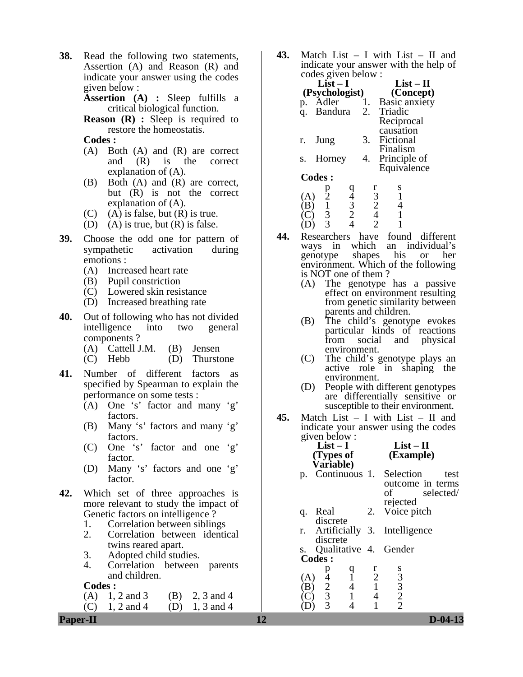**38.** Read the following two statements, Assertion (A) and Reason (R) and indicate your answer using the codes given below :

**Assertion (A) :** Sleep fulfills a critical biological function.

**Reason** (**R**) : Sleep is required to restore the homeostatis.

**Codes :** 

- (A) Both (A) and (R) are correct and (R) is the correct explanation of (A).
- (B) Both (A) and (R) are correct, but (R) is not the correct explanation of (A).
- $(C)$  (A) is false, but  $(R)$  is true.
- (D) (A) is true, but  $(R)$  is false.
- **39.** Choose the odd one for pattern of sympathetic activation during emotions :
	- (A) Increased heart rate
	- (B) Pupil constriction
	- (C) Lowered skin resistance
	- (D) Increased breathing rate
- **40.** Out of following who has not divided intelligence into two general components ?
	- (A) Cattell J.M. (B) Jensen
	- (C) Hebb (D) Thurstone
- **41.** Number of different factors as specified by Spearman to explain the performance on some tests :
	- (A) One 's' factor and many 'g' factors.
	- (B) Many 's' factors and many 'g' factors.
	- (C) One 's' factor and one 'g' factor.
	- (D) Many 's' factors and one 'g' factor.
- **42.** Which set of three approaches is more relevant to study the impact of Genetic factors on intelligence ?
	- 1. Correlation between siblings
	- 2. Correlation between identical twins reared apart.
	- 3. Adopted child studies.
	- 4. Correlation between parents and children.

**Codes :** 

- (A)  $1, 2$  and 3 (B)  $2, 3$  and 4
- (C)  $1, 2$  and  $4$  (D)  $1, 3$  and  $4$

**43.** Match List – I with List – II and indicate your answer with the help of  $code$  rades given below  $\cdot$ 

| $List-I$       |                                                                           | $List-II$                                                                                                                                                                                                                                                                                                                                                                                                                                               |
|----------------|---------------------------------------------------------------------------|---------------------------------------------------------------------------------------------------------------------------------------------------------------------------------------------------------------------------------------------------------------------------------------------------------------------------------------------------------------------------------------------------------------------------------------------------------|
|                |                                                                           | (Concept)                                                                                                                                                                                                                                                                                                                                                                                                                                               |
| Adler          | 1.                                                                        | Basic anxiety                                                                                                                                                                                                                                                                                                                                                                                                                                           |
| <b>Bandura</b> |                                                                           | 2. Triadic                                                                                                                                                                                                                                                                                                                                                                                                                                              |
|                |                                                                           | Reciprocal                                                                                                                                                                                                                                                                                                                                                                                                                                              |
|                |                                                                           | causation                                                                                                                                                                                                                                                                                                                                                                                                                                               |
|                | 3.                                                                        | Fictional                                                                                                                                                                                                                                                                                                                                                                                                                                               |
|                |                                                                           | Finalism                                                                                                                                                                                                                                                                                                                                                                                                                                                |
|                |                                                                           | Principle of                                                                                                                                                                                                                                                                                                                                                                                                                                            |
|                |                                                                           | Equivalence                                                                                                                                                                                                                                                                                                                                                                                                                                             |
|                |                                                                           |                                                                                                                                                                                                                                                                                                                                                                                                                                                         |
|                |                                                                           | s                                                                                                                                                                                                                                                                                                                                                                                                                                                       |
|                |                                                                           |                                                                                                                                                                                                                                                                                                                                                                                                                                                         |
|                |                                                                           |                                                                                                                                                                                                                                                                                                                                                                                                                                                         |
|                |                                                                           |                                                                                                                                                                                                                                                                                                                                                                                                                                                         |
|                | Jung<br>Horney<br><b>Codes:</b><br>$\frac{p}{2}$<br>(A)<br>$\overline{3}$ | $\mathcal{L}$ $\mathcal{L}$ $\mathcal{L}$ $\mathcal{L}$ $\mathcal{L}$ $\mathcal{L}$ $\mathcal{L}$ $\mathcal{L}$ $\mathcal{L}$ $\mathcal{L}$ $\mathcal{L}$ $\mathcal{L}$ $\mathcal{L}$ $\mathcal{L}$ $\mathcal{L}$ $\mathcal{L}$ $\mathcal{L}$ $\mathcal{L}$ $\mathcal{L}$ $\mathcal{L}$ $\mathcal{L}$ $\mathcal{L}$ $\mathcal{L}$ $\mathcal{L}$ $\mathcal{$<br>(Psychologist)<br>4.<br>$\frac{1}{3}$<br>$\frac{2}{4}$<br>$\frac{9}{4}$<br>$\frac{3}{2}$ |

- (D) 3 4 2 1 **44.** Researchers have found different ways in which an individual's genotype shapes his or her environment. Which of the following is NOT one of them ?
	- (A) The genotype has a passive effect on environment resulting from genetic similarity between parents and children.
	- (B) The child's genotype evokes particular kinds of reactions from social and physical environment.
	- (C) The child's genotype plays an active role in shaping the environment.
	- (D) People with different genotypes are differentially sensitive or susceptible to their environment.
- **45.** Match List I with List II and indicate your answer using the codes given below : **List – I List – II**

|                             | (Types of<br>Variable)                               |        |                          | (Example)                                                                  |      |
|-----------------------------|------------------------------------------------------|--------|--------------------------|----------------------------------------------------------------------------|------|
| p.                          |                                                      |        |                          | Continuous 1. Selection<br>outcome in terms<br>selected/<br>of<br>rejected | test |
| q.                          | Real<br>discrete                                     |        |                          | 2. Voice pitch                                                             |      |
|                             | discrete                                             |        |                          | r. Artificially 3. Intelligence                                            |      |
|                             | <b>Codes:</b>                                        |        |                          | s. Qualitative 4. Gender                                                   |      |
| (A)<br>$\boldsymbol{\beta}$ | р<br>$\begin{array}{c} 4 \\ 2 \\ 3 \\ 3 \end{array}$ | q<br>4 | r<br>$\overline{2}$<br>4 | $\begin{array}{c} 8 \\ 3 \\ 2 \\ 2 \end{array}$                            |      |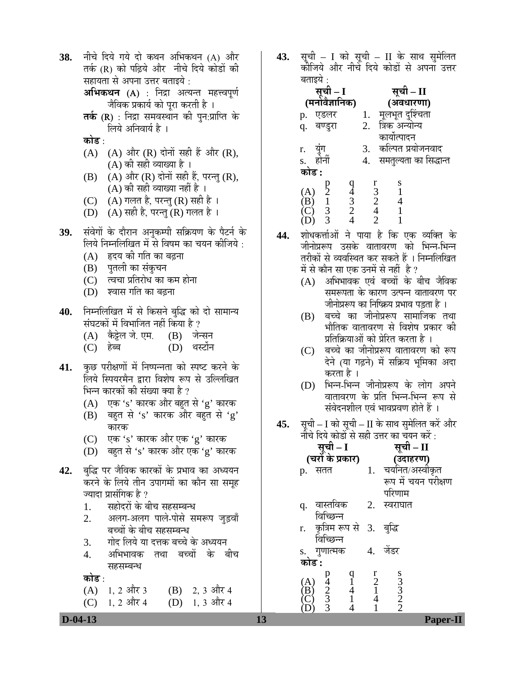**38.** नीचे दिये गये दो कथन अभिकथन (A) और तर्क (R) को पढ़िये और नीचे दिये कोडों की सहायता से अपना उत्तर बताइये :

> **अभिकथन (A)** : निद्रा अत्यन्त महत्त्वपूर्ण <u>जैविक प्रकार्य को पुरा करती है</u> ।

- **तर्क (R)** : निद्रा समवस्थान की पुन:प्राप्ति के लिये अनिवार्य है ।
- <u>कोड :</u>
- $(A)$   $(A)$  और  $(R)$  दोनों सही हैं और  $(R)$ , (A) की सही व्याख्या है ।
- (B)  $(A)$  और  $(R)$  दोनों सही हैं, परन्तु  $(R)$ , (A) की सही व्याख्या नहीं है ।
- (C)  $(A)$  गलत है, परन्तु (R) सही है ।
- (D)  $(A)$  सही है, परन्तु (R) गलत है ।
- 39. संवेगों के दौरान अनुकम्पी सक्रियण के पैटर्न के लिये निम्नलिखित में से विषम का चयन कीजिये :
	- (A) हृदय की गति का बढ़ना
	- (B) पुतली का संकुचन
	- (C) त्वचा प्रतिरोध का कम होना
	- (D) श्वास गति का बढ़ना
- **40.** निम्नलिखित में से किसने बुद्धि को दो सामान्य संघटकों में विभाजित नहीं किया है ?
	- (A) कैट्टेल जे. एम. (B) जेन्सन
	- (C) Æêü²²Ö (D) £ÖÙüÖì®Ö
- **41.** कुछ परीक्षणों में निष्पन्नता को स्पष्ट करने के लिये स्पियरमैन द्वारा विशेष रूप से उल्लिखित भिन्न कारकों की संख्या क्या है ?
	- (A)  $\vec{v}$ क 's' कारक और बहुत से 'g' कारक
	- $(B)$  बहुत से 's' कारक और बहुत से 'g' कारक
	- (C)  $\vec{v}$  एक 's' कारक और एक 'g' कारक
	- (D) बहुत से 's' कारक और एक 'g' कारक
- <u>42. बुद्धि</u> पर जैविक कारकों के प्रभाव का अध्ययन करने के लिये तीन उपागमों का कौन सा समह ज्यादा प्रासंगिक है ?
	- 1. सहोदरों के बीच सहसम्बन्ध<br>2. अलग-अलग पाले-पोसे स
	- अलग-अलग पाले-पोसे समरूप जड़वाँ बच्चों के बीच सहसम्बन्ध
	- 3. गोद लिये या दत्तक बच्चे के अध्ययन<br>4. अभिभावक तथा बच्चों के ब
	- अभिभावक तथा बच्चों के बीच सहसम्बन्ध
	- <u>कोड :</u>
	- (A)  $1, 2$  और 3 (B)  $2, 3$  और 4<br>(C)  $1, 2$  और 4 (D)  $1, 3$  और 4 (C)  $1, 2$  और 4 (D)  $1, 3$  और 4

**43.** सूची – I को सूची – II के साथ सुमेलित<br>कोजिये और नीचे दिये कोडों से अपना उत्तर बतादये ·

| सूची – I                                                                         | सूची – II                                            |
|----------------------------------------------------------------------------------|------------------------------------------------------|
| (मनोवैज्ञानिक)                                                                   | (अवधारणा)                                            |
| एडलर<br>p.                                                                       | मूलभूत दुर्श्चिता<br>त्रिक अन्योन्य                  |
| बण्डुरा<br>q.                                                                    | 2.                                                   |
|                                                                                  | कार्योत्पादन                                         |
| r. युग<br>s. होर्नी                                                              | कल्पित प्रयोजनवाद                                    |
|                                                                                  | समतुल्यता का सिद्धान्त<br>4.                         |
| कोड :                                                                            |                                                      |
|                                                                                  | s<br>1                                               |
| $\frac{9}{4}$<br>$\frac{3}{2}$<br>$\begin{matrix} p \\ 2 \\ 1 \end{matrix}$<br>A | $\begin{array}{c} r \\ 3 \\ 2 \\ 4 \\ 2 \end{array}$ |
| $\mathbf{B}$                                                                     | 4                                                    |
| $\frac{1}{3}$                                                                    |                                                      |
|                                                                                  |                                                      |

- **44.** शोधकर्त्ताओं ने पाया है कि एक व्यक्ति के जीनोप्ररूप उसके वातावरण को भिन्न-भिन्न तरीकों से व्यवस्थित कर सकते हैं । निम्नलिखित में से कौन सा एक उनमें से नहीं है ?
	- $(A)$  अभिभावक एवं बच्चों के बीच जैविक समरूपता के कारण उत्पन्न वातावरण पर जीनोप्ररूप का निष्क्रिय प्रभाव पडता है ।
	- $(B)$  बच्चे का जीनोप्ररूप सामाजिक तथा भौतिक वातावरण से विशेष प्रकार की प्रतिक्रियाओं को प्रेरित करता है ।
	- (C) बच्चे का जीनोप्ररूप वातावरण को रूप देने (या गढ़ने) में सक्रिय भूमिका अदा करता है ।
	- (D) भिन्न-भिन्न जीनोप्ररूप के लोग अपने वातावरण के प्रति भिन्न-भिन्न रूप से संवेदनशील एवं भावप्रवण होते हैं ।
- 45. सूची I को सूची II के साथ सुमेलित करें और नीचे दिये कोडों से सही उत्तर का चयन करें :

| सूची – I<br>(चरों के प्रकार)                                                                                        |                                                                                                                       | सूची – II                      |
|---------------------------------------------------------------------------------------------------------------------|-----------------------------------------------------------------------------------------------------------------------|--------------------------------|
|                                                                                                                     |                                                                                                                       | (उदाहरण)                       |
| सतत<br>p.                                                                                                           | 1.                                                                                                                    | चयनित/अस्वीकृत                 |
|                                                                                                                     |                                                                                                                       | रूप में चयन परीक्षण            |
|                                                                                                                     |                                                                                                                       | परिणाम                         |
| वास्तविक<br>q.                                                                                                      | 2.                                                                                                                    | स्वराघात                       |
| विच्छिन्न                                                                                                           |                                                                                                                       |                                |
|                                                                                                                     |                                                                                                                       |                                |
|                                                                                                                     |                                                                                                                       |                                |
| s. गुणात्मक                                                                                                         | 4.                                                                                                                    | जेंडर                          |
| कोड :                                                                                                               |                                                                                                                       |                                |
|                                                                                                                     | $\begin{array}{c} \n \stackrel{\text{r}}{2} \\ \n \stackrel{\text{r}}{4} \\ \n \stackrel{\text{r}}{1} \n \end{array}$ |                                |
|                                                                                                                     |                                                                                                                       |                                |
| $\begin{bmatrix} 1 \\ 1 \\ 4 \\ 1 \\ 4 \end{bmatrix}$<br>$\frac{p}{4}$<br>$\frac{3}{3}$<br>(A)<br>(B)<br>(C)<br>(D) |                                                                                                                       | $\frac{8}{3}$<br>$\frac{3}{2}$ |
|                                                                                                                     |                                                                                                                       |                                |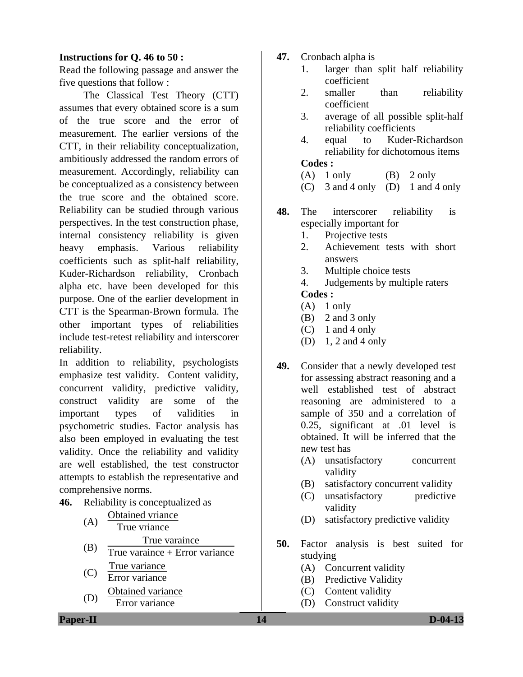### **Instructions for Q. 46 to 50 :**

Read the following passage and answer the five questions that follow :

 The Classical Test Theory (CTT) assumes that every obtained score is a sum of the true score and the error of measurement. The earlier versions of the CTT, in their reliability conceptualization, ambitiously addressed the random errors of measurement. Accordingly, reliability can be conceptualized as a consistency between the true score and the obtained score. Reliability can be studied through various perspectives. In the test construction phase, internal consistency reliability is given heavy emphasis. Various reliability coefficients such as split-half reliability, Kuder-Richardson reliability, Cronbach alpha etc. have been developed for this purpose. One of the earlier development in CTT is the Spearman-Brown formula. The other important types of reliabilities include test-retest reliability and interscorer reliability.

In addition to reliability, psychologists emphasize test validity. Content validity, concurrent validity, predictive validity, construct validity are some of the important types of validities in psychometric studies. Factor analysis has also been employed in evaluating the test validity. Once the reliability and validity are well established, the test constructor attempts to establish the representative and comprehensive norms.

**46.** Reliability is conceptualized as

| (A) | <b>Obtained vriance</b>        |
|-----|--------------------------------|
|     | True vriance                   |
| (B) | True varaince                  |
|     | True varaince + Error variance |
|     | True variance                  |
| (C) | Error variance                 |
|     | Obtained variance              |
| (D) | Error variance                 |

- **47.** Cronbach alpha is
	- 1. larger than split half reliability coefficient
	- 2. smaller than reliability coefficient
	- 3. average of all possible split-half reliability coefficients
	- 4. equal to Kuder-Richardson reliability for dichotomous items **Codes :**
	- $(A)$  1 only  $(B)$  2 only
	- (C) 3 and 4 only (D) 1 and 4 only
- **48.** The interscorer reliability is especially important for
	- 1. Projective tests
	- 2. Achievement tests with short answers
	- 3. Multiple choice tests
	- 4. Judgements by multiple raters

## **Codes :**

- $(A)$  1 only
- (B) 2 and 3 only
- $(C)$  1 and 4 only
- (D) 1, 2 and 4 only
- **49.** Consider that a newly developed test for assessing abstract reasoning and a well established test of abstract reasoning are administered to a sample of 350 and a correlation of 0.25, significant at .01 level is obtained. It will be inferred that the new test has
	- (A) unsatisfactory concurrent validity
	- (B) satisfactory concurrent validity
	- (C) unsatisfactory predictive validity
	- (D) satisfactory predictive validity
- **50.** Factor analysis is best suited for studying
	- (A) Concurrent validity
	- (B) Predictive Validity
	- (C) Content validity
	- (D) Construct validity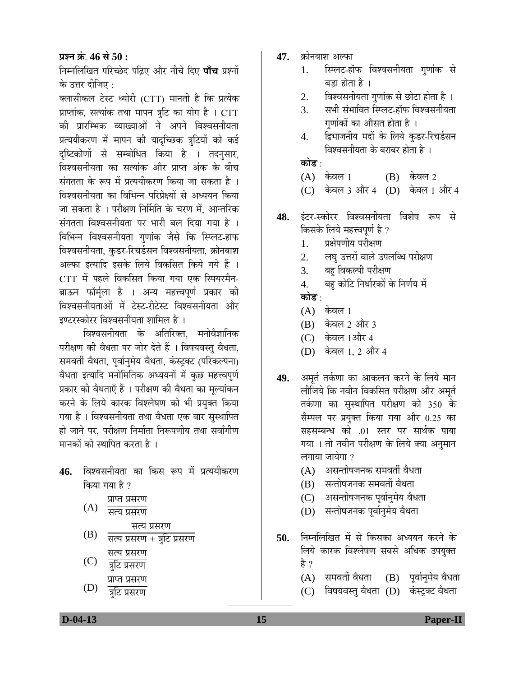**प्रश्न क्रं. 46 से 50 :** 

निम्नलिखित परिच्छेद पढ़िए और नीचे दिए **पाँच** प्रश्नों के उत्तर दीजिए :

क्लासीकल टेस्ट थ्योरी (CTT) मानती है कि प्रत्येक प्राप्तांक, सत्यांक तथा मापन त्रूटि का योग है । CTT को प्रारम्भिक व्याख्याओं ने अपने विश्वसनीयता प्रत्ययीकरण में मापन की यादच्छिक त्रूटियों को कई दृष्टिकोणों से सम्बोधित किया है । तदनुसार, विश्वसनीयता का सत्यांक और प्राप्त अंक के बीच संगतता के रूप में प्रत्ययीकरण किया जा सकता है । विश्वसनीयता का विभिन्न परिप्रेक्ष्यों से अध्ययन किया जा सकता है । परीक्षण निर्मिति के चरण में. आन्तरिक संगतता विश्वसनीयता पर भारी बल दिया गया है)। विभिन्न विश्वसनीयता गुणांक जैसे कि स्प्लिट-हाफ विश्वसनीयता, कुडर-रिचर्डसन विश्वसनीयता, क्रोनबाश अल्फा इत्यादि इसके लिये विकसित किये गये हैं । CTT में पहले विकसित किया गया एक स्पियरमैन-ब्राऊन फॉर्मूला है । अन्य महत्त्वपूर्ण प्रकार क<mark>ी</mark> विश्वसनीयताओं में टेस्ट-रीटेस्ट विश्वसनीयता और इण्टरस्कोरर विश्वसनीयता शामिल है ।

विश्वसनीयता के अतिरिक्त, मनोवैज्ञानिक परीक्षण की वैधता पर जोर देते हैं । विषयवस्तु वैधता, समवर्ती वैधता, पूर्वानुमेय वैधता, कंस्ट्रक्ट (परिकल्पना) वैधता इत्यादि मनोमितिक अध्ययनों में कुछ महत्त्वपूर्ण प्रकार की वैधताएँ हैं । परीक्षण की वैधता का मूल्यांकन करने के लिये कारक विश्लेषण को भी प्रयुक्त किया गया है । विश्वसनीयता तथा वैधता एक बार सुस्थापित हो जाने पर. परीक्षण निर्माता निरूपणीय तथा सर्वांगीण मानकों को स्थापित करता है ।

- 46. विश्वसनीयता का किस रूप में प्रत्ययीकरण किया गया है ?
	- (A) प्राप्त प्रसरण  $\overline{u}$ सत्य प्रसरण सत्य प्रसरण
	- (B) सत्य प्रसरण + त्रुटि प्रसरण सत्य प्रसरण
	- (C) त्रुटि प्रसरण प्राप्त प्रसरण
	- (D) त्रटि प्रसरण
- **47.** क्रोनबाश अल्फा
	- 1. स्प्लिट-हॉफ विश्वसनीयता गुणांक से बड़ा होता है ।
	- 2. विश्वसनीयता गणांक से छोटा होता है ।
	- 3. सभी संभावित स्प्लिट-हॉफ विश्वसनीयता गुणांकों का औसत होता है ।
	- 4. द्विभाजनीय मदों के लिये कुडर-रिचर्डसन विश्वसनीयता के बराबर होता है ।

### <u>कोड ·</u>

- $(A)$  केवल 1  $(B)$  केवल 2
- (C) केवल 3 और 4 (D) केवल 1 और 4
- 4**8.** इंटर-स्कोरर विश्वसनीयता विशेष रूप से किसके लिये महत्त्वपूर्ण है ?
	- 1. प्रक्षेपणीय परीक्षण
	- 2. लघु उत्तरों वाले उपलब्धि परीक्षण
	- 3. बहु विकल्पी परीक्षण
	- 4. बहु कोटि निर्धारकों के निर्णय में

<u>कोड :</u>

- $(A)$  केवल 1
- (B) केवल 2 और 3
- (C) केवल 1और 4
- (D) केवल 1, 2 और 4
- **49.** अमुर्त तर्कणा का आकलन करने के लिये मान लीजिये कि नवीन विकसित परीक्षण और अमर्त तर्कणा का सुस्थापित परीक्षण को 350 के सैम्पल पर प्रयुक्त किया गया और 0.25 का सहसम्बन्ध को .01 स्तर पर सार्थक पाया गया । तो नवीन परीक्षण के लिये क्या अनुमान लगाया जायेगा ?
	- $(A)$  । असन्तोषजनक समवर्ती वैधता
	- (B) सन्तोषजनक समवर्ती वैधता
	- (C) । असन्तोषजनक पूर्वानुमेय वैधता
	- (D) सन्तोषजनक पूर्वानुमेय वैधता
- **50.** निम्नलिखित में से किसका अध्ययन करने के लिये कारक विश्लेषण सबसे अधिक उपयुक्त है ?
	- $(A)$  समवर्ती वैधता  $(B)$  पूर्वानुमेय वैधता
	- (C) विषयवस्तु वैधता (D) कंस्ट्रक्ट वैधता